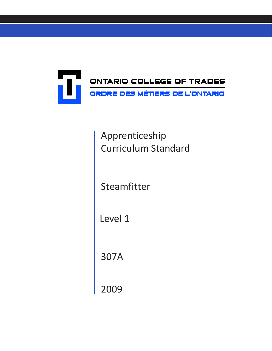

Apprenticeship Curriculum Standard

Steamfitter

Level 1

307A

2009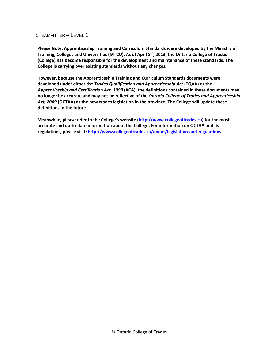**Please Note: Apprenticeship Training and Curriculum Standards were developed by the Ministry of Training, Colleges and Universities (MTCU). As of April 8th, 2013, the Ontario College of Trades (College) has become responsible for the development and maintenance of these standards. The College is carrying over existing standards without any changes.**

**However, because the Apprenticeship Training and Curriculum Standards documents were developed under either the** *Trades Qualification and Apprenticeship Act* **(TQAA) or the**  *Apprenticeship and Certification Act, 1998* **(ACA), the definitions contained in these documents may no longer be accurate and may not be reflective of the** *Ontario College of Trades and Apprenticeship Act, 2009* **(OCTAA) as the new trades legislation in the province***.* **The College will update these definitions in the future.**

**Meanwhile, please refer to the College's website [\(http://www.collegeoftrades.ca\)](http://www.collegeoftrades.ca/) for the most accurate and up-to-date information about the College. For information on OCTAA and its regulations***,* **please visit***:* **<http://www.collegeoftrades.ca/about/legislation-and-regulations>**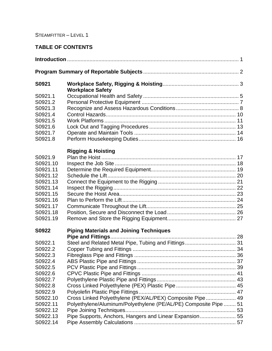# **TABLE OF CONTENTS**

| S0921                            | <b>Workplace Safety</b>                                                                                                      |  |  |  |
|----------------------------------|------------------------------------------------------------------------------------------------------------------------------|--|--|--|
| S0921.1<br>S0921.2<br>S0921.3    |                                                                                                                              |  |  |  |
| S0921.4<br>S0921.5               |                                                                                                                              |  |  |  |
| S0921.6<br>S0921.7               |                                                                                                                              |  |  |  |
| S0921.8                          | <b>Rigging &amp; Hoisting</b>                                                                                                |  |  |  |
| S0921.9<br>S0921.10              |                                                                                                                              |  |  |  |
| S0921.11<br>S0921.12<br>S0921.13 |                                                                                                                              |  |  |  |
| S0921.14<br>S0921.15             |                                                                                                                              |  |  |  |
| S0921.16<br>S0921.17             |                                                                                                                              |  |  |  |
| S0921.18<br>S0921.19             |                                                                                                                              |  |  |  |
| S0922                            | <b>Piping Materials and Joining Techniques</b>                                                                               |  |  |  |
| S0922.1<br>S0922.2               |                                                                                                                              |  |  |  |
| S0922.3<br>S0922.4               |                                                                                                                              |  |  |  |
| S0922.5<br>S0922.6<br>S0922.7    |                                                                                                                              |  |  |  |
| S0922.8<br>S0922.9               |                                                                                                                              |  |  |  |
| S0922.10<br>S0922.11<br>S0922.12 | Cross Linked Polyethylene (PEX/AL/PEX) Composite Pipe 49<br>Polyethylene/Aluminum/Polyethylene (PE/AL/PE) Composite Pipe  51 |  |  |  |
| S0922.13<br>S0922.14             | Pipe Supports, Anchors, Hangers and Linear Expansion 55                                                                      |  |  |  |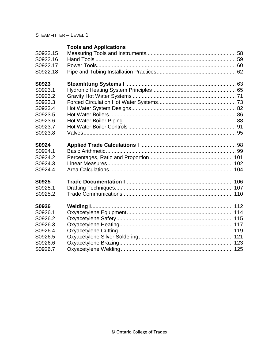# **Tools and Applications**

| S0922.15<br>S0922.16 |  |
|----------------------|--|
| S0922.17             |  |
| S0922.18             |  |
|                      |  |
| S0923                |  |
| S0923.1              |  |
| S0923.2              |  |
| S0923.3              |  |
| S0923.4              |  |
| S0923.5              |  |
| S0923.6              |  |
| S0923.7              |  |
| S0923.8              |  |
|                      |  |
| S0924                |  |
| S0924.1              |  |
| S0924.2              |  |
| S0924.3              |  |
| S0924.4              |  |
| S0925                |  |
| S0925.1              |  |
| S0925.2              |  |
| S0926                |  |
| S0926.1              |  |
| S0926.2              |  |
| S0926.3              |  |
| S0926.4              |  |
| S0926.5              |  |
| S0926.6              |  |
| S0926.7              |  |
|                      |  |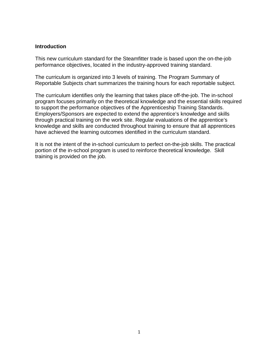#### **Introduction**

This new curriculum standard for the Steamfitter trade is based upon the on-the-job performance objectives, located in the industry-approved training standard.

The curriculum is organized into 3 levels of training. The Program Summary of Reportable Subjects chart summarizes the training hours for each reportable subject.

The curriculum identifies only the learning that takes place off-the-job. The in-school program focuses primarily on the theoretical knowledge and the essential skills required to support the performance objectives of the Apprenticeship Training Standards. Employers/Sponsors are expected to extend the apprentice's knowledge and skills through practical training on the work site. Regular evaluations of the apprentice's knowledge and skills are conducted throughout training to ensure that all apprentices have achieved the learning outcomes identified in the curriculum standard.

It is not the intent of the in-school curriculum to perfect on-the-job skills. The practical portion of the in-school program is used to reinforce theoretical knowledge. Skill training is provided on the job.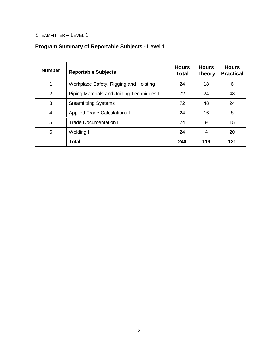# **Program Summary of Reportable Subjects - Level 1**

| <b>Number</b> | <b>Reportable Subjects</b>                | <b>Hours</b><br>Total | <b>Hours</b><br>Theory | <b>Hours</b><br><b>Practical</b> |
|---------------|-------------------------------------------|-----------------------|------------------------|----------------------------------|
| 1             | Workplace Safety, Rigging and Hoisting I  | 24                    | 18                     | 6                                |
| 2             | Piping Materials and Joining Techniques I | 72                    | 24                     | 48                               |
| 3             | <b>Steamfitting Systems I</b>             | 72                    | 48                     | 24                               |
| 4             | <b>Applied Trade Calculations I</b>       | 24                    | 16                     | 8                                |
| 5             | <b>Trade Documentation I</b>              | 24                    | 9                      | 15                               |
| 6             | Welding I                                 | 24                    | 4                      | 20                               |
|               | Total                                     | 240                   | 119                    | 121                              |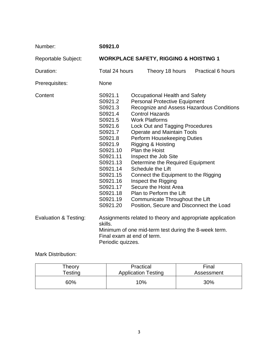| Number:                          | S0921.0                                                                                                                                                                                                                 |  |                                                                                                                                                                                                                                                                                                                                                                                                                                                                                        |  |                                                                                                                               |
|----------------------------------|-------------------------------------------------------------------------------------------------------------------------------------------------------------------------------------------------------------------------|--|----------------------------------------------------------------------------------------------------------------------------------------------------------------------------------------------------------------------------------------------------------------------------------------------------------------------------------------------------------------------------------------------------------------------------------------------------------------------------------------|--|-------------------------------------------------------------------------------------------------------------------------------|
| <b>Reportable Subject:</b>       | <b>WORKPLACE SAFETY, RIGGING &amp; HOISTING 1</b>                                                                                                                                                                       |  |                                                                                                                                                                                                                                                                                                                                                                                                                                                                                        |  |                                                                                                                               |
| Duration:                        | Total 24 hours                                                                                                                                                                                                          |  | Theory 18 hours                                                                                                                                                                                                                                                                                                                                                                                                                                                                        |  | <b>Practical 6 hours</b>                                                                                                      |
| Prerequisites:                   | None                                                                                                                                                                                                                    |  |                                                                                                                                                                                                                                                                                                                                                                                                                                                                                        |  |                                                                                                                               |
| Content                          | S0921.1<br>S0921.2<br>S0921.3<br>S0921.4<br>S0921.5<br>S0921.6<br>S0921.7<br>S0921.8<br>S0921.9<br>S0921.10<br>S0921.11<br>S0921.13<br>S0921.14<br>S0921.15<br>S0921.16<br>S0921.17<br>S0921.18<br>S0921.19<br>S0921.20 |  | Occupational Health and Safety<br><b>Personal Protective Equipment</b><br><b>Control Hazards</b><br><b>Work Platforms</b><br>Lock Out and Tagging Procedures<br><b>Operate and Maintain Tools</b><br>Perform Housekeeping Duties<br>Rigging & Hoisting<br><b>Plan the Hoist</b><br>Inspect the Job Site<br>Determine the Required Equipment<br><b>Schedule the Lift</b><br>Inspect the Rigging<br>Secure the Hoist Area<br>Plan to Perform the Lift<br>Communicate Throughout the Lift |  | Recognize and Assess Hazardous Conditions<br>Connect the Equipment to the Rigging<br>Position, Secure and Disconnect the Load |
| <b>Evaluation &amp; Testing:</b> | Assignments related to theory and appropriate application<br>skills.<br>Minimum of one mid-term test during the 8-week term.<br>Final exam at end of term.<br>Periodic quizzes.                                         |  |                                                                                                                                                                                                                                                                                                                                                                                                                                                                                        |  |                                                                                                                               |

Mark Distribution:

| Theory     | Practical                  | Final      |
|------------|----------------------------|------------|
| $T$ esting | <b>Application Testing</b> | Assessment |
| 60%        | $10\%$                     | 30%        |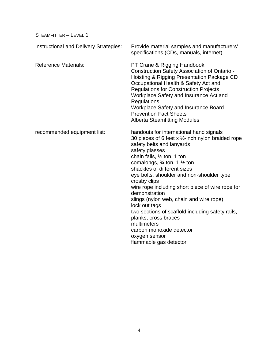| <b>Instructional and Delivery Strategies:</b> | Provide material samples and manufacturers'<br>specifications (CDs, manuals, internet)                                                                                                                                                                                                                                                                                                                                                                                                                                                                                                                                                              |
|-----------------------------------------------|-----------------------------------------------------------------------------------------------------------------------------------------------------------------------------------------------------------------------------------------------------------------------------------------------------------------------------------------------------------------------------------------------------------------------------------------------------------------------------------------------------------------------------------------------------------------------------------------------------------------------------------------------------|
| <b>Reference Materials:</b>                   | PT Crane & Rigging Handbook<br>Construction Safety Association of Ontario -<br>Hoisting & Rigging Presentation Package CD<br>Occupational Health & Safety Act and<br><b>Regulations for Construction Projects</b><br>Workplace Safety and Insurance Act and<br>Regulations<br>Workplace Safety and Insurance Board -<br><b>Prevention Fact Sheets</b><br><b>Alberta Steamfitting Modules</b>                                                                                                                                                                                                                                                        |
| recommended equipment list:                   | handouts for international hand signals<br>30 pieces of 6 feet x $\frac{1}{2}$ -inch nylon braided rope<br>safety belts and lanyards<br>safety glasses<br>chain falls, $\frac{1}{2}$ ton, 1 ton<br>comalongs, $\frac{3}{4}$ ton, 1 $\frac{1}{2}$ ton<br>shackles of different sizes<br>eye bolts, shoulder and non-shoulder type<br>crosby clips<br>wire rope including short piece of wire rope for<br>demonstration<br>slings (nylon web, chain and wire rope)<br>lock out tags<br>two sections of scaffold including safety rails,<br>planks, cross braces<br>multimeters<br>carbon monoxide detector<br>oxygen sensor<br>flammable gas detector |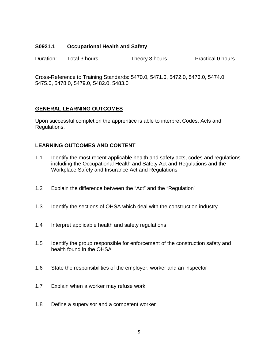#### **S0921.1 Occupational Health and Safety**

Duration: Total 3 hours Theory 3 hours Practical 0 hours

Cross-Reference to Training Standards: 5470.0, 5471.0, 5472.0, 5473.0, 5474.0, 5475.0, 5478.0, 5479.0, 5482.0, 5483.0

### **GENERAL LEARNING OUTCOMES**

Upon successful completion the apprentice is able to interpret Codes, Acts and Regulations.

- 1.1 Identify the most recent applicable health and safety acts, codes and regulations including the Occupational Health and Safety Act and Regulations and the Workplace Safety and Insurance Act and Regulations
- 1.2 Explain the difference between the "Act" and the "Regulation"
- 1.3 Identify the sections of OHSA which deal with the construction industry
- 1.4 Interpret applicable health and safety regulations
- 1.5 Identify the group responsible for enforcement of the construction safety and health found in the OHSA
- 1.6 State the responsibilities of the employer, worker and an inspector
- 1.7 Explain when a worker may refuse work
- 1.8 Define a supervisor and a competent worker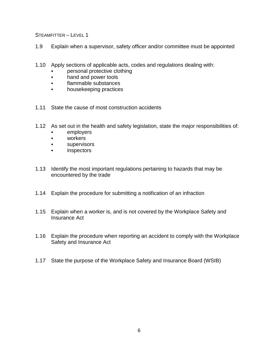- 1.9 Explain when a supervisor, safety officer and/or committee must be appointed
- 1.10 Apply sections of applicable acts, codes and regulations dealing with:
	- personal protective clothing
	- hand and power tools
	- flammable substances
	- housekeeping practices
- 1.11 State the cause of most construction accidents
- 1.12 As set out in the health and safety legislation, state the major responsibilities of:
	- employers
	- workers
	- supervisors
	- inspectors
- 1.13 Identify the most important regulations pertaining to hazards that may be encountered by the trade
- 1.14 Explain the procedure for submitting a notification of an infraction
- 1.15 Explain when a worker is, and is not covered by the Workplace Safety and Insurance Act
- 1.16 Explain the procedure when reporting an accident to comply with the Workplace Safety and Insurance Act
- 1.17 State the purpose of the Workplace Safety and Insurance Board (WSIB)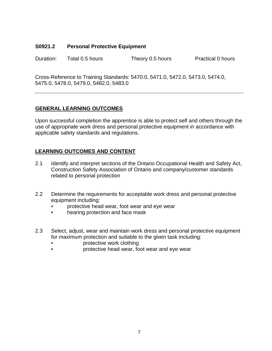### **S0921.2 Personal Protective Equipment**

Duration: Total 0.5 hours Theory 0.5 hours Practical 0 hours

Cross-Reference to Training Standards: 5470.0, 5471.0, 5472.0, 5473.0, 5474.0, 5475.0, 5478.0, 5479.0, 5482.0, 5483.0

### **GENERAL LEARNING OUTCOMES**

Upon successful completion the apprentice is able to protect self and others through the use of appropriate work dress and personal protective equipment in accordance with applicable safety standards and regulations.

- 2.1 Identify and interpret sections of the Ontario Occupational Health and Safety Act, Construction Safety Association of Ontario and company/customer standards related to personal protection
- 2.2 Determine the requirements for acceptable work dress and personal protective equipment including:
	- protective head wear, foot wear and eye wear
	- hearing protection and face mask
- 2.3 Select, adjust, wear and maintain work dress and personal protective equipment for maximum protection and suitable to the given task including:
	- protective work clothing
	- protective head wear, foot wear and eye wear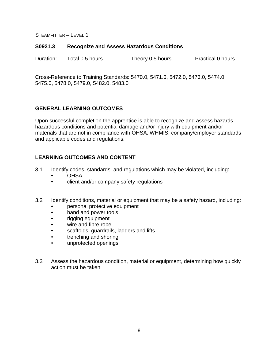#### **S0921.3 Recognize and Assess Hazardous Conditions**

Duration: Total 0.5 hours Theory 0.5 hours Practical 0 hours

Cross-Reference to Training Standards: 5470.0, 5471.0, 5472.0, 5473.0, 5474.0, 5475.0, 5478.0, 5479.0, 5482.0, 5483.0

### **GENERAL LEARNING OUTCOMES**

Upon successful completion the apprentice is able to recognize and assess hazards, hazardous conditions and potential damage and/or injury with equipment and/or materials that are not in compliance with OHSA, WHMIS, company/employer standards and applicable codes and regulations.

- 3.1 Identify codes, standards, and regulations which may be violated, including:
	- **OHSA**
	- client and/or company safety regulations
- 3.2 Identify conditions, material or equipment that may be a safety hazard, including:
	- personal protective equipment
	- hand and power tools
	- rigging equipment
	- wire and fibre rope
	- scaffolds, guardrails, ladders and lifts
	- trenching and shoring
	- unprotected openings
- 3.3 Assess the hazardous condition, material or equipment, determining how quickly action must be taken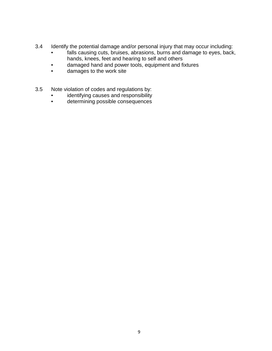- 3.4 Identify the potential damage and/or personal injury that may occur including:
	- falls causing cuts, bruises, abrasions, burns and damage to eyes, back, hands, knees, feet and hearing to self and others
	- damaged hand and power tools, equipment and fixtures
	- damages to the work site
- 3.5 Note violation of codes and regulations by:
	- identifying causes and responsibility<br>• determining possible consequences
	- determining possible consequences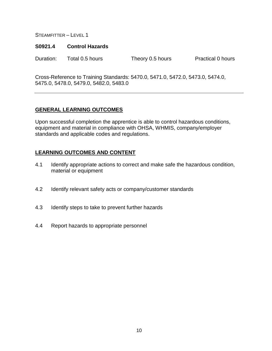#### **S0921.4 Control Hazards**

Duration: Total 0.5 hours Theory 0.5 hours Practical 0 hours

Cross-Reference to Training Standards: 5470.0, 5471.0, 5472.0, 5473.0, 5474.0, 5475.0, 5478.0, 5479.0, 5482.0, 5483.0

### **GENERAL LEARNING OUTCOMES**

Upon successful completion the apprentice is able to control hazardous conditions, equipment and material in compliance with OHSA, WHMIS, company/employer standards and applicable codes and regulations.

- 4.1 Identify appropriate actions to correct and make safe the hazardous condition, material or equipment
- 4.2 Identify relevant safety acts or company/customer standards
- 4.3 Identify steps to take to prevent further hazards
- 4.4 Report hazards to appropriate personnel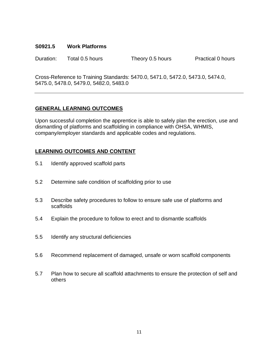#### **S0921.5 Work Platforms**

Duration: Total 0.5 hours Theory 0.5 hours Practical 0 hours

Cross-Reference to Training Standards: 5470.0, 5471.0, 5472.0, 5473.0, 5474.0, 5475.0, 5478.0, 5479.0, 5482.0, 5483.0

### **GENERAL LEARNING OUTCOMES**

Upon successful completion the apprentice is able to safely plan the erection, use and dismantling of platforms and scaffolding in compliance with OHSA, WHMIS, company/employer standards and applicable codes and regulations.

- 5.1 Identify approved scaffold parts
- 5.2 Determine safe condition of scaffolding prior to use
- 5.3 Describe safety procedures to follow to ensure safe use of platforms and scaffolds
- 5.4 Explain the procedure to follow to erect and to dismantle scaffolds
- 5.5 Identify any structural deficiencies
- 5.6 Recommend replacement of damaged, unsafe or worn scaffold components
- 5.7 Plan how to secure all scaffold attachments to ensure the protection of self and others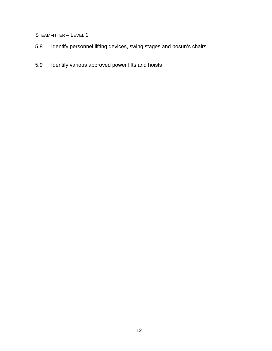- 5.8 Identify personnel lifting devices, swing stages and bosun's chairs
- 5.9 Identify various approved power lifts and hoists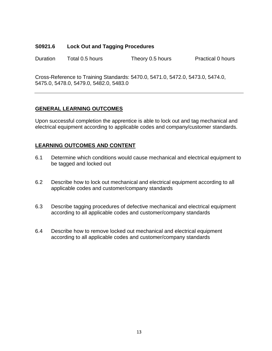#### **S0921.6 Lock Out and Tagging Procedures**

Duration Total 0.5 hours Theory 0.5 hours Practical 0 hours

Cross-Reference to Training Standards: 5470.0, 5471.0, 5472.0, 5473.0, 5474.0, 5475.0, 5478.0, 5479.0, 5482.0, 5483.0

### **GENERAL LEARNING OUTCOMES**

Upon successful completion the apprentice is able to lock out and tag mechanical and electrical equipment according to applicable codes and company/customer standards.

- 6.1 Determine which conditions would cause mechanical and electrical equipment to be tagged and locked out
- 6.2 Describe how to lock out mechanical and electrical equipment according to all applicable codes and customer/company standards
- 6.3 Describe tagging procedures of defective mechanical and electrical equipment according to all applicable codes and customer/company standards
- 6.4 Describe how to remove locked out mechanical and electrical equipment according to all applicable codes and customer/company standards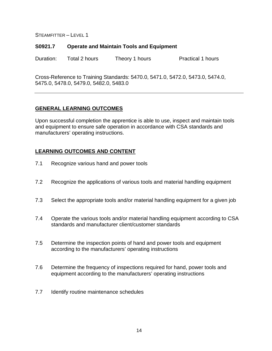#### **S0921.7 Operate and Maintain Tools and Equipment**

Duration: Total 2 hours Theory 1 hours Practical 1 hours

Cross-Reference to Training Standards: 5470.0, 5471.0, 5472.0, 5473.0, 5474.0, 5475.0, 5478.0, 5479.0, 5482.0, 5483.0

### **GENERAL LEARNING OUTCOMES**

Upon successful completion the apprentice is able to use, inspect and maintain tools and equipment to ensure safe operation in accordance with CSA standards and manufacturers' operating instructions.

- 7.1 Recognize various hand and power tools
- 7.2 Recognize the applications of various tools and material handling equipment
- 7.3 Select the appropriate tools and/or material handling equipment for a given job
- 7.4 Operate the various tools and/or material handling equipment according to CSA standards and manufacturer client/customer standards
- 7.5 Determine the inspection points of hand and power tools and equipment according to the manufacturers' operating instructions
- 7.6 Determine the frequency of inspections required for hand, power tools and equipment according to the manufacturers' operating instructions
- 7.7 Identify routine maintenance schedules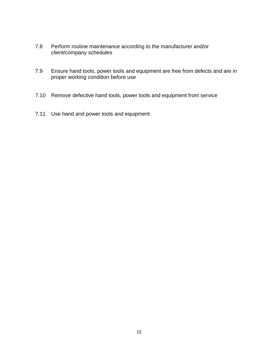- 7.8 Perform routine maintenance according to the manufacturer and/or client/company schedules
- 7.9 Ensure hand tools, power tools and equipment are free from defects and are in proper working condition before use
- 7.10 Remove defective hand tools, power tools and equipment from service
- 7.11 Use hand and power tools and equipment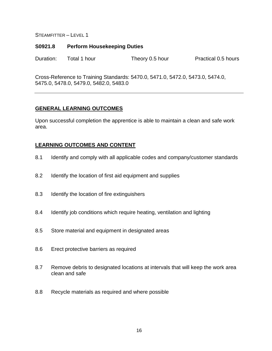#### **S0921.8 Perform Housekeeping Duties**

Duration: Total 1 hour Theory 0.5 hour Practical 0.5 hours

Cross-Reference to Training Standards: 5470.0, 5471.0, 5472.0, 5473.0, 5474.0, 5475.0, 5478.0, 5479.0, 5482.0, 5483.0

#### **GENERAL LEARNING OUTCOMES**

Upon successful completion the apprentice is able to maintain a clean and safe work area.

- 8.1 Identify and comply with all applicable codes and company/customer standards
- 8.2 Identify the location of first aid equipment and supplies
- 8.3 Identify the location of fire extinguishers
- 8.4 Identify job conditions which require heating, ventilation and lighting
- 8.5 Store material and equipment in designated areas
- 8.6 Erect protective barriers as required
- 8.7 Remove debris to designated locations at intervals that will keep the work area clean and safe
- 8.8 Recycle materials as required and where possible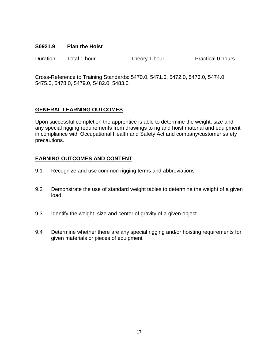#### **S0921.9 Plan the Hoist**

Duration: Total 1 hour Theory 1 hour Practical 0 hours

Cross-Reference to Training Standards: 5470.0, 5471.0, 5472.0, 5473.0, 5474.0, 5475.0, 5478.0, 5479.0, 5482.0, 5483.0

## **GENERAL LEARNING OUTCOMES**

Upon successful completion the apprentice is able to determine the weight, size and any special rigging requirements from drawings to rig and hoist material and equipment in compliance with Occupational Health and Safety Act and company/customer safety precautions.

- 9.1 Recognize and use common rigging terms and abbreviations
- 9.2 Demonstrate the use of standard weight tables to determine the weight of a given load
- 9.3 Identify the weight, size and center of gravity of a given object
- 9.4 Determine whether there are any special rigging and/or hoisting requirements for given materials or pieces of equipment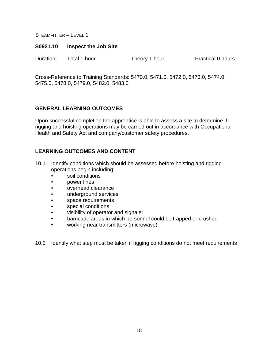#### **S0921.10 Inspect the Job Site**

Duration: Total 1 hour Theory 1 hour Practical 0 hours

Cross-Reference to Training Standards: 5470.0, 5471.0, 5472.0, 5473.0, 5474.0, 5475.0, 5478.0, 5479.0, 5482.0, 5483.0

### **GENERAL LEARNING OUTCOMES**

Upon successful completion the apprentice is able to assess a site to determine if rigging and hoisting operations may be carried out in accordance with Occupational Health and Safety Act and company/customer safety procedures.

### **LEARNING OUTCOMES AND CONTENT**

- 10.1 Identify conditions which should be assessed before hoisting and rigging operations begin including:
	- soil conditions
	- power lines
	- overhead clearance
	- underground services
	- space requirements
	- special conditions
	- visibility of operator and signaler
	- barricade areas in which personnel could be trapped or crushed
	- working near transmitters (microwave)

10.2 Identify what step must be taken if rigging conditions do not meet requirements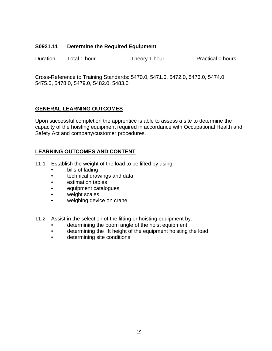### **S0921.11 Determine the Required Equipment**

Duration: Total 1 hour Theory 1 hour Practical 0 hours

Cross-Reference to Training Standards: 5470.0, 5471.0, 5472.0, 5473.0, 5474.0, 5475.0, 5478.0, 5479.0, 5482.0, 5483.0

### **GENERAL LEARNING OUTCOMES**

Upon successful completion the apprentice is able to assess a site to determine the capacity of the hoisting equipment required in accordance with Occupational Health and Safety Act and company/customer procedures.

- 11.1 Establish the weight of the load to be lifted by using:
	- bills of lading
	- technical drawings and data
	- estimation tables
	- equipment catalogues
	- weight scales
	- weighing device on crane
- 11.2 Assist in the selection of the lifting or hoisting equipment by:
	- determining the boom angle of the hoist equipment
	- determining the lift height of the equipment hoisting the load
	- determining site conditions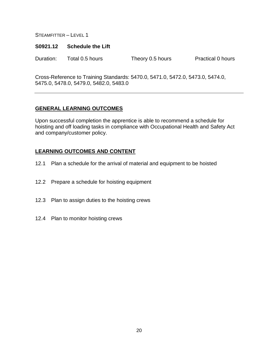#### **S0921.12 Schedule the Lift**

Duration: Total 0.5 hours Theory 0.5 hours Practical 0 hours

Cross-Reference to Training Standards: 5470.0, 5471.0, 5472.0, 5473.0, 5474.0, 5475.0, 5478.0, 5479.0, 5482.0, 5483.0

### **GENERAL LEARNING OUTCOMES**

Upon successful completion the apprentice is able to recommend a schedule for hoisting and off loading tasks in compliance with Occupational Health and Safety Act and company/customer policy.

- 12.1 Plan a schedule for the arrival of material and equipment to be hoisted
- 12.2 Prepare a schedule for hoisting equipment
- 12.3 Plan to assign duties to the hoisting crews
- 12.4 Plan to monitor hoisting crews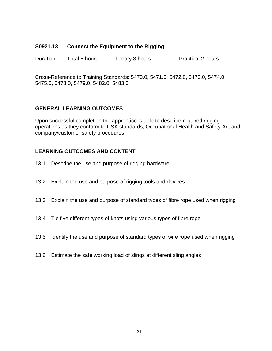#### **S0921.13 Connect the Equipment to the Rigging**

Duration: Total 5 hours Theory 3 hours Practical 2 hours

Cross-Reference to Training Standards: 5470.0, 5471.0, 5472.0, 5473.0, 5474.0, 5475.0, 5478.0, 5479.0, 5482.0, 5483.0

### **GENERAL LEARNING OUTCOMES**

Upon successful completion the apprentice is able to describe required rigging operations as they conform to CSA standards, Occupational Health and Safety Act and company/customer safety procedures.

- 13.1 Describe the use and purpose of rigging hardware
- 13.2 Explain the use and purpose of rigging tools and devices
- 13.3 Explain the use and purpose of standard types of fibre rope used when rigging
- 13.4 Tie five different types of knots using various types of fibre rope
- 13.5 Identify the use and purpose of standard types of wire rope used when rigging
- 13.6 Estimate the safe working load of slings at different sling angles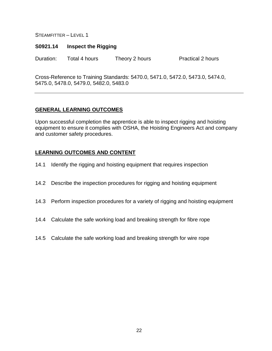#### **S0921.14 Inspect the Rigging**

Duration: Total 4 hours Theory 2 hours Practical 2 hours

Cross-Reference to Training Standards: 5470.0, 5471.0, 5472.0, 5473.0, 5474.0, 5475.0, 5478.0, 5479.0, 5482.0, 5483.0

### **GENERAL LEARNING OUTCOMES**

Upon successful completion the apprentice is able to inspect rigging and hoisting equipment to ensure it complies with OSHA, the Hoisting Engineers Act and company and customer safety procedures.

- 14.1 Identify the rigging and hoisting equipment that requires inspection
- 14.2 Describe the inspection procedures for rigging and hoisting equipment
- 14.3 Perform inspection procedures for a variety of rigging and hoisting equipment
- 14.4 Calculate the safe working load and breaking strength for fibre rope
- 14.5 Calculate the safe working load and breaking strength for wire rope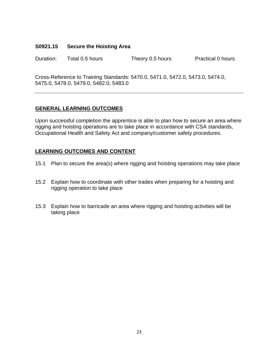#### **S0921.15 Secure the Hoisting Area**

Duration: Total 0.5 hours Theory 0.5 hours Practical 0 hours

Cross-Reference to Training Standards: 5470.0, 5471.0, 5472.0, 5473.0, 5474.0, 5475.0, 5478.0, 5479.0, 5482.0, 5483.0

### **GENERAL LEARNING OUTCOMES**

Upon successful completion the apprentice is able to plan how to secure an area where rigging and hoisting operations are to take place in accordance with CSA standards, Occupational Health and Safety Act and company/customer safety procedures.

- 15.1 Plan to secure the area(s) where rigging and hoisting operations may take place
- 15.2 Explain how to coordinate with other trades when preparing for a hoisting and rigging operation to take place
- 15.3 Explain how to barricade an area where rigging and hoisting activities will be taking place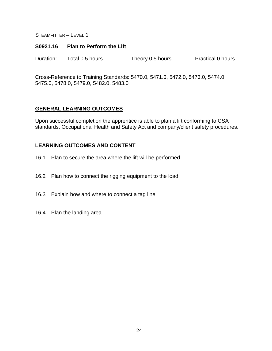#### **S0921.16 Plan to Perform the Lift**

Duration: Total 0.5 hours Theory 0.5 hours Practical 0 hours

Cross-Reference to Training Standards: 5470.0, 5471.0, 5472.0, 5473.0, 5474.0, 5475.0, 5478.0, 5479.0, 5482.0, 5483.0

#### **GENERAL LEARNING OUTCOMES**

Upon successful completion the apprentice is able to plan a lift conforming to CSA standards, Occupational Health and Safety Act and company/client safety procedures.

- 16.1 Plan to secure the area where the lift will be performed
- 16.2 Plan how to connect the rigging equipment to the load
- 16.3 Explain how and where to connect a tag line
- 16.4 Plan the landing area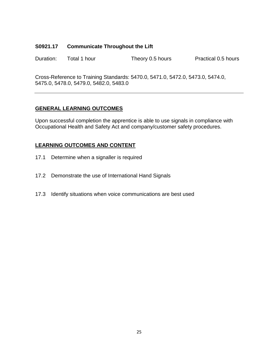#### **S0921.17 Communicate Throughout the Lift**

Duration: Total 1 hour Theory 0.5 hours Practical 0.5 hours

Cross-Reference to Training Standards: 5470.0, 5471.0, 5472.0, 5473.0, 5474.0, 5475.0, 5478.0, 5479.0, 5482.0, 5483.0

#### **GENERAL LEARNING OUTCOMES**

Upon successful completion the apprentice is able to use signals in compliance with Occupational Health and Safety Act and company/customer safety procedures.

- 17.1 Determine when a signaller is required
- 17.2 Demonstrate the use of International Hand Signals
- 17.3 Identify situations when voice communications are best used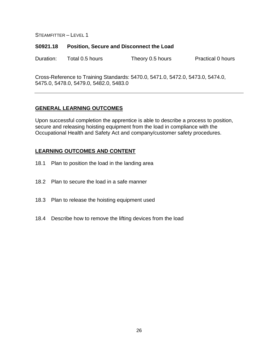#### **S0921.18 Position, Secure and Disconnect the Load**

Duration: Total 0.5 hours Theory 0.5 hours Practical 0 hours

Cross-Reference to Training Standards: 5470.0, 5471.0, 5472.0, 5473.0, 5474.0, 5475.0, 5478.0, 5479.0, 5482.0, 5483.0

### **GENERAL LEARNING OUTCOMES**

Upon successful completion the apprentice is able to describe a process to position, secure and releasing hoisting equipment from the load in compliance with the Occupational Health and Safety Act and company/customer safety procedures.

- 18.1 Plan to position the load in the landing area
- 18.2 Plan to secure the load in a safe manner
- 18.3 Plan to release the hoisting equipment used
- 18.4 Describe how to remove the lifting devices from the load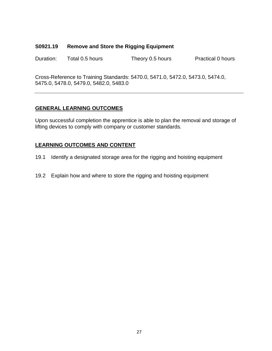#### **S0921.19 Remove and Store the Rigging Equipment**

Duration: Total 0.5 hours Theory 0.5 hours Practical 0 hours

Cross-Reference to Training Standards: 5470.0, 5471.0, 5472.0, 5473.0, 5474.0, 5475.0, 5478.0, 5479.0, 5482.0, 5483.0

### **GENERAL LEARNING OUTCOMES**

Upon successful completion the apprentice is able to plan the removal and storage of lifting devices to comply with company or customer standards.

- 19.1 Identify a designated storage area for the rigging and hoisting equipment
- 19.2 Explain how and where to store the rigging and hoisting equipment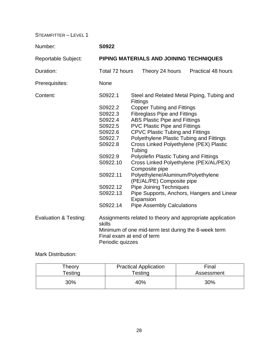| Number:                          | S0922                                                                                                                                                                       |                           |                                                                                                                                                                                                                                                                                                                                        |  |                                                                                                                                                                                                                                                                                                           |
|----------------------------------|-----------------------------------------------------------------------------------------------------------------------------------------------------------------------------|---------------------------|----------------------------------------------------------------------------------------------------------------------------------------------------------------------------------------------------------------------------------------------------------------------------------------------------------------------------------------|--|-----------------------------------------------------------------------------------------------------------------------------------------------------------------------------------------------------------------------------------------------------------------------------------------------------------|
| <b>Reportable Subject:</b>       | PIPING MATERIALS AND JOINING TECHNIQUES                                                                                                                                     |                           |                                                                                                                                                                                                                                                                                                                                        |  |                                                                                                                                                                                                                                                                                                           |
| Duration:                        | Total 72 hours                                                                                                                                                              |                           | Theory 24 hours                                                                                                                                                                                                                                                                                                                        |  | <b>Practical 48 hours</b>                                                                                                                                                                                                                                                                                 |
| Prerequisites:                   | None                                                                                                                                                                        |                           |                                                                                                                                                                                                                                                                                                                                        |  |                                                                                                                                                                                                                                                                                                           |
| Content:                         | S0922.1<br>S0922.2<br>S0922.3<br>S0922.4<br>S0922.5<br>S0922.6<br>S0922.7<br>S0922.8<br>S0922.9<br>S0922.10<br>S0922.11<br>S0922.12<br>S0922.13<br>S0922.14                 | <b>Fittings</b><br>Tubing | <b>Copper Tubing and Fittings</b><br><b>Fibreglass Pipe and Fittings</b><br><b>ABS Plastic Pipe and Fittings</b><br><b>PVC Plastic Pipe and Fittings</b><br><b>CPVC Plastic Tubing and Fittings</b><br>Composite pipe<br>(PE/AL/PE) Composite pipe<br><b>Pipe Joining Techniques</b><br>Expansion<br><b>Pipe Assembly Calculations</b> |  | Steel and Related Metal Piping, Tubing and<br>Polyethylene Plastic Tubing and Fittings<br>Cross Linked Polyethylene (PEX) Plastic<br>Polyolefin Plastic Tubing and Fittings<br>Cross Linked Polyethylene (PEX/AL/PEX)<br>Polyethylene/Aluminum/Polyethylene<br>Pipe Supports, Anchors, Hangers and Linear |
| <b>Evaluation &amp; Testing:</b> | Assignments related to theory and appropriate application<br>skills<br>Minimum of one mid-term test during the 8-week term<br>Final exam at end of term<br>Periodic quizzes |                           |                                                                                                                                                                                                                                                                                                                                        |  |                                                                                                                                                                                                                                                                                                           |

Mark Distribution:

| Theory  | <b>Practical Application</b> | Final      |
|---------|------------------------------|------------|
| Testing | $\tau$ esting                | Assessment |
| 30%     | 40%                          | 30%        |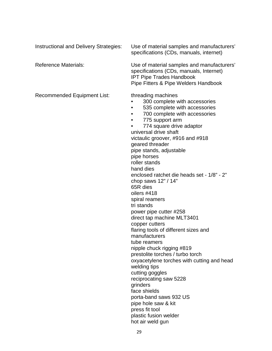Instructional and Delivery Strategies: Use of material samples and manufacturers'

specifications (CDs, manuals, internet)

Reference Materials: Use of material samples and manufacturers' specifications (CDs, manuals, Internet) IPT Pipe Trades Handbook Pipe Fitters & Pipe Welders Handbook

Recommended Equipment List: threading machines

- 300 complete with accessories
- 535 complete with accessories
- 700 complete with accessories
- 775 support arm

• 774 square drive adaptor universal drive shaft victaulic groover, #916 and #918 geared threader pipe stands, adjustable pipe horses roller stands hand dies enclosed ratchet die heads set - 1/8" - 2" chop saws 12" / 14" 65R dies oilers #418 spiral reamers tri stands power pipe cutter #258 direct tap machine MLT3401 copper cutters flaring tools of different sizes and manufacturers tube reamers nipple chuck rigging #819 prestolite torches / turbo torch oxyacetylene torches with cutting and head welding tips cutting goggles reciprocating saw 5228 grinders face shields porta-band saws 932 US pipe hole saw & kit press fit tool plastic fusion welder hot air weld gun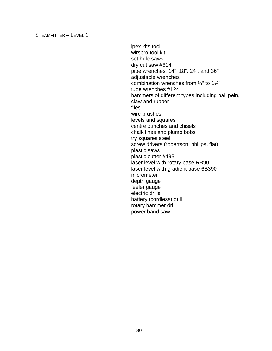ipex kits tool wirsbro tool kit set hole saws dry cut saw #614 pipe wrenches, 14", 18", 24", and 36" adjustable wrenches combination wrenches from ¼" to 1¼" tube wrenches #124 hammers of different types including ball pein, claw and rubber files wire brushes levels and squares centre punches and chisels chalk lines and plumb bobs try squares steel screw drivers (robertson, philips, flat) plastic saws plastic cutter #493 laser level with rotary base RB90 laser level with gradient base 6B390 micrometer depth gauge feeler gauge electric drills battery (cordless) drill rotary hammer drill power band saw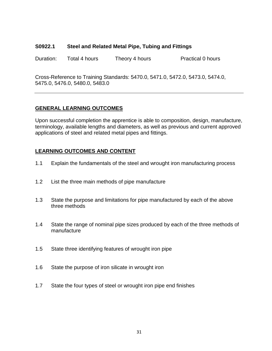#### **S0922.1 Steel and Related Metal Pipe, Tubing and Fittings**

Duration: Total 4 hours Theory 4 hours Practical 0 hours

Cross-Reference to Training Standards: 5470.0, 5471.0, 5472.0, 5473.0, 5474.0, 5475.0, 5476.0, 5480.0, 5483.0

# **GENERAL LEARNING OUTCOMES**

Upon successful completion the apprentice is able to composition, design, manufacture, terminology, available lengths and diameters, as well as previous and current approved applications of steel and related metal pipes and fittings.

- 1.1 Explain the fundamentals of the steel and wrought iron manufacturing process
- 1.2 List the three main methods of pipe manufacture
- 1.3 State the purpose and limitations for pipe manufactured by each of the above three methods
- 1.4 State the range of nominal pipe sizes produced by each of the three methods of manufacture
- 1.5 State three identifying features of wrought iron pipe
- 1.6 State the purpose of iron silicate in wrought iron
- 1.7 State the four types of steel or wrought iron pipe end finishes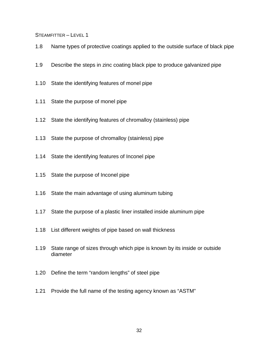- 1.8 Name types of protective coatings applied to the outside surface of black pipe
- 1.9 Describe the steps in zinc coating black pipe to produce galvanized pipe
- 1.10 State the identifying features of monel pipe
- 1.11 State the purpose of monel pipe
- 1.12 State the identifying features of chromalloy (stainless) pipe
- 1.13 State the purpose of chromalloy (stainless) pipe
- 1.14 State the identifying features of Inconel pipe
- 1.15 State the purpose of Inconel pipe
- 1.16 State the main advantage of using aluminum tubing
- 1.17 State the purpose of a plastic liner installed inside aluminum pipe
- 1.18 List different weights of pipe based on wall thickness
- 1.19 State range of sizes through which pipe is known by its inside or outside diameter
- 1.20 Define the term "random lengths" of steel pipe
- 1.21 Provide the full name of the testing agency known as "ASTM"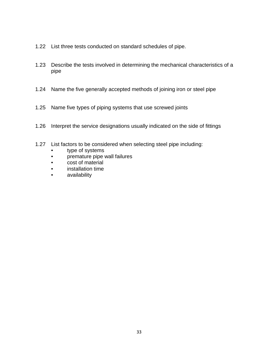- 1.22 List three tests conducted on standard schedules of pipe.
- 1.23 Describe the tests involved in determining the mechanical characteristics of a pipe
- 1.24 Name the five generally accepted methods of joining iron or steel pipe
- 1.25 Name five types of piping systems that use screwed joints
- 1.26 Interpret the service designations usually indicated on the side of fittings
- 1.27 List factors to be considered when selecting steel pipe including:
	- type of systems
	- premature pipe wall failures
	- cost of material
	- installation time
	- availability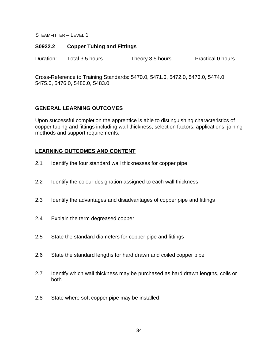#### **S0922.2 Copper Tubing and Fittings**

Duration: Total 3.5 hours Theory 3.5 hours Practical 0 hours

Cross-Reference to Training Standards: 5470.0, 5471.0, 5472.0, 5473.0, 5474.0, 5475.0, 5476.0, 5480.0, 5483.0

#### **GENERAL LEARNING OUTCOMES**

Upon successful completion the apprentice is able to distinguishing characteristics of copper tubing and fittings including wall thickness, selection factors, applications, joining methods and support requirements.

- 2.1 Identify the four standard wall thicknesses for copper pipe
- 2.2 Identify the colour designation assigned to each wall thickness
- 2.3 Identify the advantages and disadvantages of copper pipe and fittings
- 2.4 Explain the term degreased copper
- 2.5 State the standard diameters for copper pipe and fittings
- 2.6 State the standard lengths for hard drawn and coiled copper pipe
- 2.7 Identify which wall thickness may be purchased as hard drawn lengths, coils or both
- 2.8 State where soft copper pipe may be installed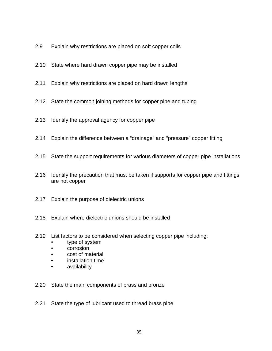- 2.9 Explain why restrictions are placed on soft copper coils
- 2.10 State where hard drawn copper pipe may be installed
- 2.11 Explain why restrictions are placed on hard drawn lengths
- 2.12 State the common joining methods for copper pipe and tubing
- 2.13 Identify the approval agency for copper pipe
- 2.14 Explain the difference between a "drainage" and "pressure" copper fitting
- 2.15 State the support requirements for various diameters of copper pipe installations
- 2.16 Identify the precaution that must be taken if supports for copper pipe and fittings are not copper
- 2.17 Explain the purpose of dielectric unions
- 2.18 Explain where dielectric unions should be installed
- 2.19 List factors to be considered when selecting copper pipe including:
	- type of system
	- corrosion
	- cost of material
	- installation time
	- availability
- 2.20 State the main components of brass and bronze
- 2.21 State the type of lubricant used to thread brass pipe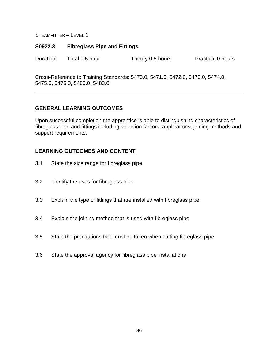#### **S0922.3 Fibreglass Pipe and Fittings**

Duration: Total 0.5 hour Theory 0.5 hours Practical 0 hours

Cross-Reference to Training Standards: 5470.0, 5471.0, 5472.0, 5473.0, 5474.0, 5475.0, 5476.0, 5480.0, 5483.0

## **GENERAL LEARNING OUTCOMES**

Upon successful completion the apprentice is able to distinguishing characteristics of fibreglass pipe and fittings including selection factors, applications, joining methods and support requirements.

- 3.1 State the size range for fibreglass pipe
- 3.2 Identify the uses for fibreglass pipe
- 3.3 Explain the type of fittings that are installed with fibreglass pipe
- 3.4 Explain the joining method that is used with fibreglass pipe
- 3.5 State the precautions that must be taken when cutting fibreglass pipe
- 3.6 State the approval agency for fibreglass pipe installations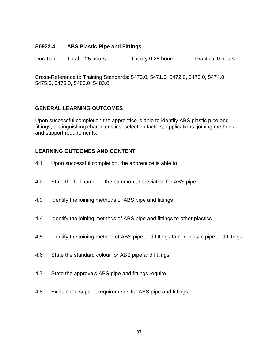## **S0922.4 ABS Plastic Pipe and Fittings**

Duration: Total 0.25 hours Theory 0.25 hours Practical 0 hours

Cross-Reference to Training Standards: 5470.0, 5471.0, 5472.0, 5473.0, 5474.0, 5475.0, 5476.0, 5480.0, 5483.0

## **GENERAL LEARNING OUTCOMES**

Upon successful completion the apprentice is able to identify ABS plastic pipe and fittings, distinguishing characteristics, selection factors, applications, joining methods and support requirements.

- 4.1 Upon successful completion, the apprentice is able to:
- 4.2 State the full name for the common abbreviation for ABS pipe
- 4.3 Identify the joining methods of ABS pipe and fittings
- 4.4 Identify the joining methods of ABS pipe and fittings to other plastics
- 4.5 Identify the joining method of ABS pipe and fittings to non-plastic pipe and fittings
- 4.6 State the standard colour for ABS pipe and fittings
- 4.7 State the approvals ABS pipe and fittings require
- 4.8 Explain the support requirements for ABS pipe and fittings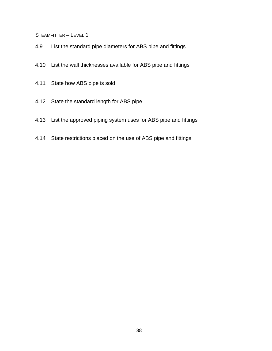- 4.9 List the standard pipe diameters for ABS pipe and fittings
- 4.10 List the wall thicknesses available for ABS pipe and fittings
- 4.11 State how ABS pipe is sold
- 4.12 State the standard length for ABS pipe
- 4.13 List the approved piping system uses for ABS pipe and fittings
- 4.14 State restrictions placed on the use of ABS pipe and fittings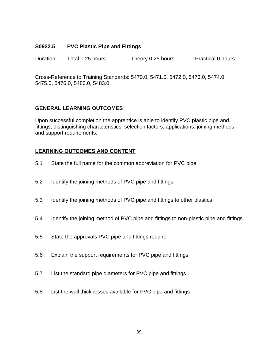## **S0922.5 PVC Plastic Pipe and Fittings**

Duration: Total 0.25 hours Theory 0.25 hours Practical 0 hours

Cross-Reference to Training Standards: 5470.0, 5471.0, 5472.0, 5473.0, 5474.0, 5475.0, 5476.0, 5480.0, 5483.0

## **GENERAL LEARNING OUTCOMES**

Upon successful completion the apprentice is able to identify PVC plastic pipe and fittings, distinguishing characteristics, selection factors, applications, joining methods and support requirements.

- 5.1 State the full name for the common abbreviation for PVC pipe
- 5.2 Identify the joining methods of PVC pipe and fittings
- 5.3 Identify the joining methods of PVC pipe and fittings to other plastics
- 5.4 Identify the joining method of PVC pipe and fittings to non-plastic pipe and fittings
- 5.5 State the approvals PVC pipe and fittings require
- 5.6 Explain the support requirements for PVC pipe and fittings
- 5.7 List the standard pipe diameters for PVC pipe and fittings
- 5.8 List the wall thicknesses available for PVC pipe and fittings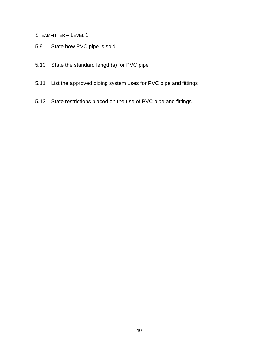- 5.9 State how PVC pipe is sold
- 5.10 State the standard length(s) for PVC pipe
- 5.11 List the approved piping system uses for PVC pipe and fittings
- 5.12 State restrictions placed on the use of PVC pipe and fittings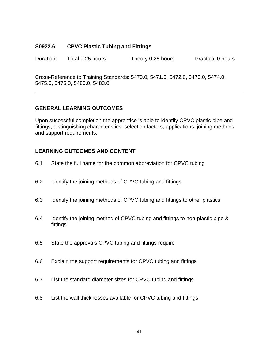## **S0922.6 CPVC Plastic Tubing and Fittings**

Duration: Total 0.25 hours Theory 0.25 hours Practical 0 hours

Cross-Reference to Training Standards: 5470.0, 5471.0, 5472.0, 5473.0, 5474.0, 5475.0, 5476.0, 5480.0, 5483.0

## **GENERAL LEARNING OUTCOMES**

Upon successful completion the apprentice is able to identify CPVC plastic pipe and fittings, distinguishing characteristics, selection factors, applications, joining methods and support requirements.

- 6.1 State the full name for the common abbreviation for CPVC tubing
- 6.2 Identify the joining methods of CPVC tubing and fittings
- 6.3 Identify the joining methods of CPVC tubing and fittings to other plastics
- 6.4 Identify the joining method of CPVC tubing and fittings to non-plastic pipe & fittings
- 6.5 State the approvals CPVC tubing and fittings require
- 6.6 Explain the support requirements for CPVC tubing and fittings
- 6.7 List the standard diameter sizes for CPVC tubing and fittings
- 6.8 List the wall thicknesses available for CPVC tubing and fittings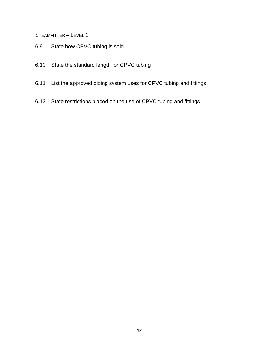- 6.9 State how CPVC tubing is sold
- 6.10 State the standard length for CPVC tubing
- 6.11 List the approved piping system uses for CPVC tubing and fittings
- 6.12 State restrictions placed on the use of CPVC tubing and fittings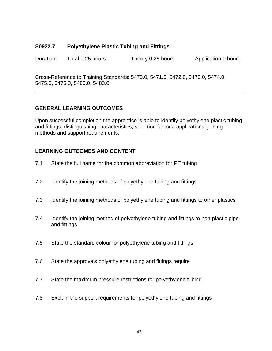## **S0922.7 Polyethylene Plastic Tubing and Fittings**

Duration: Total 0.25 hours Theory 0.25 hours Application 0 hours

Cross-Reference to Training Standards: 5470.0, 5471.0, 5472.0, 5473.0, 5474.0, 5475.0, 5476.0, 5480.0, 5483.0

# **GENERAL LEARNING OUTCOMES**

Upon successful completion the apprentice is able to identify polyethylene plastic tubing and fittings, distinguishing characteristics, selection factors, applications, joining methods and support requirements.

- 7.1 State the full name for the common abbreviation for PE tubing
- 7.2 Identify the joining methods of polyethylene tubing and fittings
- 7.3 Identify the joining methods of polyethylene tubing and fittings to other plastics
- 7.4 Identify the joining method of polyethylene tubing and fittings to non-plastic pipe and fittings
- 7.5 State the standard colour for polyethylene tubing and fittings
- 7.6 State the approvals polyethylene tubing and fittings require
- 7.7 State the maximum pressure restrictions for polyethylene tubing
- 7.8 Explain the support requirements for polyethylene tubing and fittings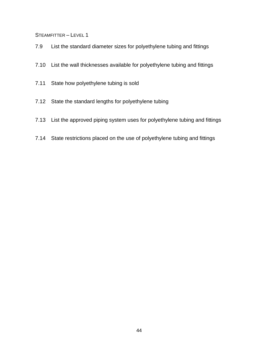- 7.9 List the standard diameter sizes for polyethylene tubing and fittings
- 7.10 List the wall thicknesses available for polyethylene tubing and fittings
- 7.11 State how polyethylene tubing is sold
- 7.12 State the standard lengths for polyethylene tubing
- 7.13 List the approved piping system uses for polyethylene tubing and fittings
- 7.14 State restrictions placed on the use of polyethylene tubing and fittings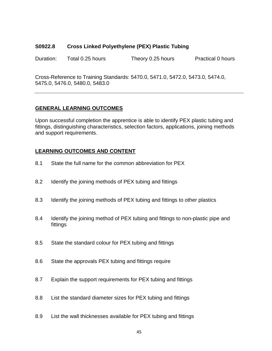#### **S0922.8 Cross Linked Polyethylene (PEX) Plastic Tubing**

Duration: Total 0.25 hours Theory 0.25 hours Practical 0 hours

Cross-Reference to Training Standards: 5470.0, 5471.0, 5472.0, 5473.0, 5474.0, 5475.0, 5476.0, 5480.0, 5483.0

# **GENERAL LEARNING OUTCOMES**

Upon successful completion the apprentice is able to identify PEX plastic tubing and fittings, distinguishing characteristics, selection factors, applications, joining methods and support requirements.

- 8.1 State the full name for the common abbreviation for PEX
- 8.2 Identify the joining methods of PEX tubing and fittings
- 8.3 Identify the joining methods of PEX tubing and fittings to other plastics
- 8.4 Identify the joining method of PEX tubing and fittings to non-plastic pipe and fittings
- 8.5 State the standard colour for PEX tubing and fittings
- 8.6 State the approvals PEX tubing and fittings require
- 8.7 Explain the support requirements for PEX tubing and fittings
- 8.8 List the standard diameter sizes for PEX tubing and fittings
- 8.9 List the wall thicknesses available for PEX tubing and fittings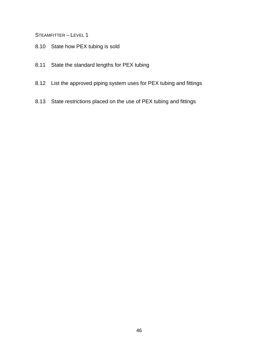- 8.10 State how PEX tubing is sold
- 8.11 State the standard lengths for PEX tubing
- 8.12 List the approved piping system uses for PEX tubing and fittings
- 8.13 State restrictions placed on the use of PEX tubing and fittings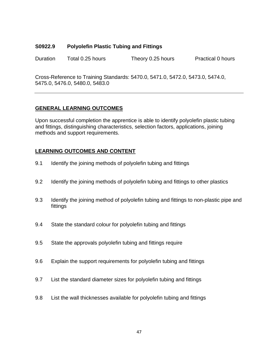## **S0922.9 Polyolefin Plastic Tubing and Fittings**

Duration Total 0.25 hours Theory 0.25 hours Practical 0 hours

Cross-Reference to Training Standards: 5470.0, 5471.0, 5472.0, 5473.0, 5474.0, 5475.0, 5476.0, 5480.0, 5483.0

## **GENERAL LEARNING OUTCOMES**

Upon successful completion the apprentice is able to identify polyolefin plastic tubing and fittings, distinguishing characteristics, selection factors, applications, joining methods and support requirements.

- 9.1 Identify the joining methods of polyolefin tubing and fittings
- 9.2 Identify the joining methods of polyolefin tubing and fittings to other plastics
- 9.3 Identify the joining method of polyolefin tubing and fittings to non-plastic pipe and fittings
- 9.4 State the standard colour for polyolefin tubing and fittings
- 9.5 State the approvals polyolefin tubing and fittings require
- 9.6 Explain the support requirements for polyolefin tubing and fittings
- 9.7 List the standard diameter sizes for polyolefin tubing and fittings
- 9.8 List the wall thicknesses available for polyolefin tubing and fittings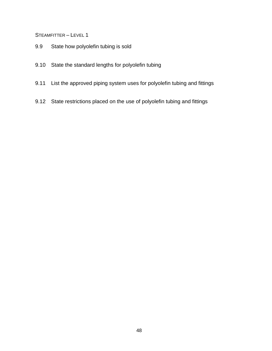- 9.9 State how polyolefin tubing is sold
- 9.10 State the standard lengths for polyolefin tubing
- 9.11 List the approved piping system uses for polyolefin tubing and fittings
- 9.12 State restrictions placed on the use of polyolefin tubing and fittings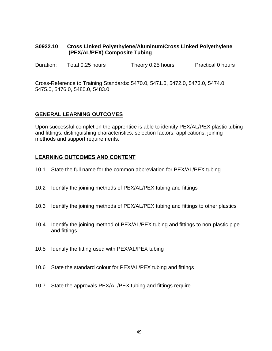## **S0922.10 Cross Linked Polyethylene/Aluminum/Cross Linked Polyethylene (PEX/AL/PEX) Composite Tubing**

Duration: Total 0.25 hours Theory 0.25 hours Practical 0 hours

Cross-Reference to Training Standards: 5470.0, 5471.0, 5472.0, 5473.0, 5474.0, 5475.0, 5476.0, 5480.0, 5483.0

## **GENERAL LEARNING OUTCOMES**

Upon successful completion the apprentice is able to identify PEX/AL/PEX plastic tubing and fittings, distinguishing characteristics, selection factors, applications, joining methods and support requirements.

- 10.1 State the full name for the common abbreviation for PEX/AL/PEX tubing
- 10.2 Identify the joining methods of PEX/AL/PEX tubing and fittings
- 10.3 Identify the joining methods of PEX/AL/PEX tubing and fittings to other plastics
- 10.4 Identify the joining method of PEX/AL/PEX tubing and fittings to non-plastic pipe and fittings
- 10.5 Identify the fitting used with PEX/AL/PEX tubing
- 10.6 State the standard colour for PEX/AL/PEX tubing and fittings
- 10.7 State the approvals PEX/AL/PEX tubing and fittings require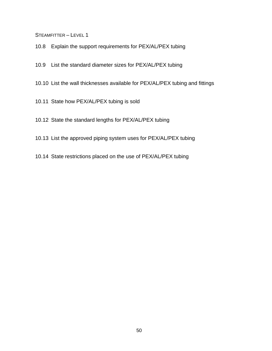- 10.8 Explain the support requirements for PEX/AL/PEX tubing
- 10.9 List the standard diameter sizes for PEX/AL/PEX tubing
- 10.10 List the wall thicknesses available for PEX/AL/PEX tubing and fittings
- 10.11 State how PEX/AL/PEX tubing is sold
- 10.12 State the standard lengths for PEX/AL/PEX tubing
- 10.13 List the approved piping system uses for PEX/AL/PEX tubing
- 10.14 State restrictions placed on the use of PEX/AL/PEX tubing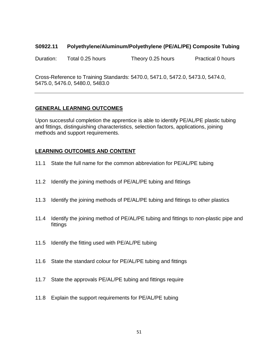#### **S0922.11 Polyethylene/Aluminum/Polyethylene (PE/AL/PE) Composite Tubing**

Duration: Total 0.25 hours Theory 0.25 hours Practical 0 hours

Cross-Reference to Training Standards: 5470.0, 5471.0, 5472.0, 5473.0, 5474.0, 5475.0, 5476.0, 5480.0, 5483.0

## **GENERAL LEARNING OUTCOMES**

Upon successful completion the apprentice is able to identify PE/AL/PE plastic tubing and fittings, distinguishing characteristics, selection factors, applications, joining methods and support requirements.

- 11.1 State the full name for the common abbreviation for PE/AL/PE tubing
- 11.2 Identify the joining methods of PE/AL/PE tubing and fittings
- 11.3 Identify the joining methods of PE/AL/PE tubing and fittings to other plastics
- 11.4 Identify the joining method of PE/AL/PE tubing and fittings to non-plastic pipe and fittings
- 11.5 Identify the fitting used with PE/AL/PE tubing
- 11.6 State the standard colour for PE/AL/PE tubing and fittings
- 11.7 State the approvals PE/AL/PE tubing and fittings require
- 11.8 Explain the support requirements for PE/AL/PE tubing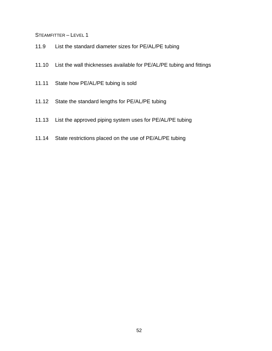- 11.9 List the standard diameter sizes for PE/AL/PE tubing
- 11.10 List the wall thicknesses available for PE/AL/PE tubing and fittings
- 11.11 State how PE/AL/PE tubing is sold
- 11.12 State the standard lengths for PE/AL/PE tubing
- 11.13 List the approved piping system uses for PE/AL/PE tubing
- 11.14 State restrictions placed on the use of PE/AL/PE tubing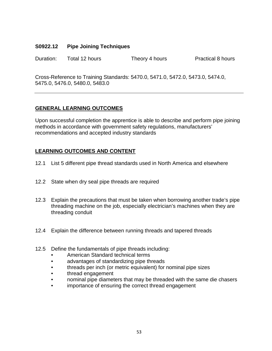## **S0922.12 Pipe Joining Techniques**

Duration: Total 12 hours Theory 4 hours Practical 8 hours

Cross-Reference to Training Standards: 5470.0, 5471.0, 5472.0, 5473.0, 5474.0, 5475.0, 5476.0, 5480.0, 5483.0

# **GENERAL LEARNING OUTCOMES**

Upon successful completion the apprentice is able to describe and perform pipe joining methods in accordance with government safety regulations, manufacturers' recommendations and accepted industry standards

- 12.1 List 5 different pipe thread standards used in North America and elsewhere
- 12.2 State when dry seal pipe threads are required
- 12.3 Explain the precautions that must be taken when borrowing another trade's pipe threading machine on the job, especially electrician's machines when they are threading conduit
- 12.4 Explain the difference between running threads and tapered threads
- 12.5 Define the fundamentals of pipe threads including:
	- American Standard technical terms
	- advantages of standardizing pipe threads
	- threads per inch (or metric equivalent) for nominal pipe sizes
	- thread engagement
	- nominal pipe diameters that may be threaded with the same die chasers
	- importance of ensuring the correct thread engagement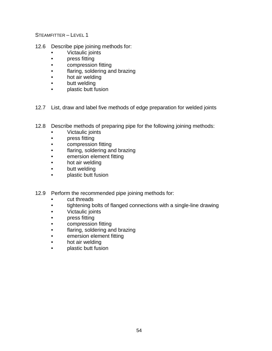- 12.6 Describe pipe joining methods for:
	- Victaulic joints
	- **press fitting**
	- compression fitting
	- flaring, soldering and brazing
	- hot air welding
	- butt welding
	- plastic butt fusion
- 12.7 List, draw and label five methods of edge preparation for welded joints
- 12.8 Describe methods of preparing pipe for the following joining methods:
	- Victaulic joints
	- press fitting
	- compression fitting
	- flaring, soldering and brazing
	- emersion element fitting
	- hot air welding
	- butt welding
	- plastic butt fusion
- 12.9 Perform the recommended pipe joining methods for:
	- cut threads
	- tightening bolts of flanged connections with a single-line drawing
	- Victaulic joints
	- **press fitting**
	- compression fitting
	- flaring, soldering and brazing
	- emersion element fitting
	- hot air welding
	- plastic butt fusion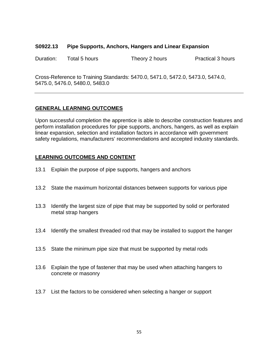#### **S0922.13 Pipe Supports, Anchors, Hangers and Linear Expansion**

Duration: Total 5 hours Theory 2 hours Practical 3 hours

Cross-Reference to Training Standards: 5470.0, 5471.0, 5472.0, 5473.0, 5474.0, 5475.0, 5476.0, 5480.0, 5483.0

#### **GENERAL LEARNING OUTCOMES**

Upon successful completion the apprentice is able to describe construction features and perform installation procedures for pipe supports, anchors, hangers, as well as explain linear expansion, selection and installation factors in accordance with government safety regulations, manufacturers' recommendations and accepted industry standards.

- 13.1 Explain the purpose of pipe supports, hangers and anchors
- 13.2 State the maximum horizontal distances between supports for various pipe
- 13.3 Identify the largest size of pipe that may be supported by solid or perforated metal strap hangers
- 13.4 Identify the smallest threaded rod that may be installed to support the hanger
- 13.5 State the minimum pipe size that must be supported by metal rods
- 13.6 Explain the type of fastener that may be used when attaching hangers to concrete or masonry
- 13.7 List the factors to be considered when selecting a hanger or support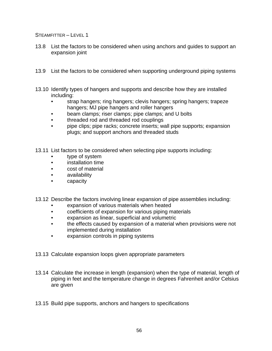- 13.8 List the factors to be considered when using anchors and guides to support an expansion joint
- 13.9 List the factors to be considered when supporting underground piping systems
- 13.10 Identify types of hangers and supports and describe how they are installed including:
	- strap hangers; ring hangers; clevis hangers; spring hangers; trapeze hangers; MJ pipe hangers and roller hangers
	- beam clamps; riser clamps; pipe clamps; and U bolts
	- threaded rod and threaded rod couplings
	- pipe clips; pipe racks; concrete inserts; wall pipe supports; expansion plugs; and support anchors and threaded studs
- 13.11 List factors to be considered when selecting pipe supports including:
	- type of system
	- installation time
	- cost of material
	- availability
	- capacity
- 13.12 Describe the factors involving linear expansion of pipe assemblies including:
	- expansion of various materials when heated
	- coefficients of expansion for various piping materials
	- expansion as linear, superficial and volumetric
	- the effects caused by expansion of a material when provisions were not implemented during installation
	- expansion controls in piping systems
- 13.13 Calculate expansion loops given appropriate parameters
- 13.14 Calculate the increase in length (expansion) when the type of material, length of piping in feet and the temperature change in degrees Fahrenheit and/or Celsius are given
- 13.15 Build pipe supports, anchors and hangers to specifications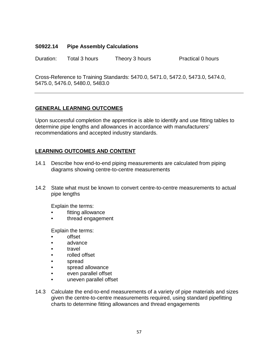## **S0922.14 Pipe Assembly Calculations**

Duration: Total 3 hours Theory 3 hours Practical 0 hours

Cross-Reference to Training Standards: 5470.0, 5471.0, 5472.0, 5473.0, 5474.0, 5475.0, 5476.0, 5480.0, 5483.0

# **GENERAL LEARNING OUTCOMES**

Upon successful completion the apprentice is able to identify and use fitting tables to determine pipe lengths and allowances in accordance with manufacturers' recommendations and accepted industry standards.

# **LEARNING OUTCOMES AND CONTENT**

- 14.1 Describe how end-to-end piping measurements are calculated from piping diagrams showing centre-to-centre measurements
- 14.2 State what must be known to convert centre-to-centre measurements to actual pipe lengths

Explain the terms:

- fitting allowance
- thread engagement

Explain the terms:

- offset
- advance
- **travel**
- rolled offset
- spread
- spread allowance
- even parallel offset
- uneven parallel offset
- 14.3 Calculate the end-to-end measurements of a variety of pipe materials and sizes given the centre-to-centre measurements required, using standard pipefitting charts to determine fitting allowances and thread engagements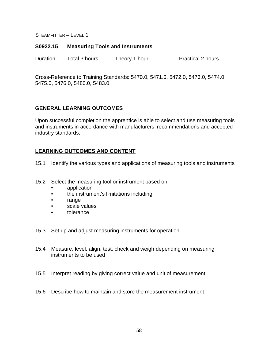#### **S0922.15 Measuring Tools and Instruments**

Duration: Total 3 hours Theory 1 hour Practical 2 hours

Cross-Reference to Training Standards: 5470.0, 5471.0, 5472.0, 5473.0, 5474.0, 5475.0, 5476.0, 5480.0, 5483.0

## **GENERAL LEARNING OUTCOMES**

Upon successful completion the apprentice is able to select and use measuring tools and instruments in accordance with manufacturers' recommendations and accepted industry standards.

- 15.1 Identify the various types and applications of measuring tools and instruments
- 15.2 Select the measuring tool or instrument based on:
	- application
	- the instrument's limitations including:
	- range
	- scale values
	- tolerance
- 15.3 Set up and adjust measuring instruments for operation
- 15.4 Measure, level, align, test, check and weigh depending on measuring instruments to be used
- 15.5 Interpret reading by giving correct value and unit of measurement
- 15.6 Describe how to maintain and store the measurement instrument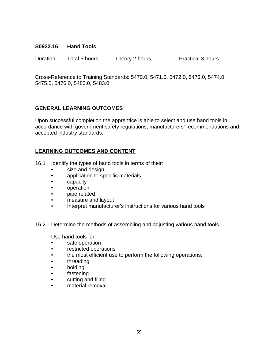## **S0922.16 Hand Tools**

Duration: Total 5 hours Theory 2 hours Practical 3 hours

Cross-Reference to Training Standards: 5470.0, 5471.0, 5472.0, 5473.0, 5474.0, 5475.0, 5476.0, 5480.0, 5483.0

# **GENERAL LEARNING OUTCOMES**

Upon successful completion the apprentice is able to select and use hand tools in accordance with government safety regulations, manufacturers' recommendations and accepted industry standards.

# **LEARNING OUTCOMES AND CONTENT**

- 16.1 Identify the types of hand tools in terms of their:
	- size and design
	- application to specific materials
	- capacity
	- operation
	- pipe related
	- measure and layout
	- Interpret manufacturer's instructions for various hand tools
- 16.2 Determine the methods of assembling and adjusting various hand tools

Use hand tools for:

- safe operation
- restricted operations
- the most efficient use to perform the following operations:
- threading
- holding
- fastening
- cutting and filing
- material removal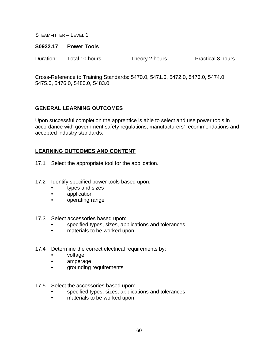#### **S0922.17 Power Tools**

Duration: Total 10 hours Theory 2 hours Practical 8 hours

Cross-Reference to Training Standards: 5470.0, 5471.0, 5472.0, 5473.0, 5474.0, 5475.0, 5476.0, 5480.0, 5483.0

## **GENERAL LEARNING OUTCOMES**

Upon successful completion the apprentice is able to select and use power tools in accordance with government safety regulations, manufacturers' recommendations and accepted industry standards.

- 17.1 Select the appropriate tool for the application.
- 17.2 Identify specified power tools based upon:
	- types and sizes
	- application
	- operating range
- 17.3 Select accessories based upon:
	- specified types, sizes, applications and tolerances
	- materials to be worked upon
- 17.4 Determine the correct electrical requirements by:
	- voltage
	- amperage
	- grounding requirements
- 17.5 Select the accessories based upon:
	- specified types, sizes, applications and tolerances
	- materials to be worked upon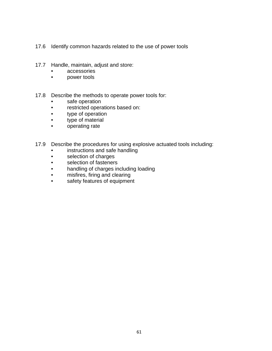- 17.6 Identify common hazards related to the use of power tools
- 17.7 Handle, maintain, adjust and store:
	- accessories
	- power tools
- 17.8 Describe the methods to operate power tools for:
	- safe operation
	- restricted operations based on:
	- type of operation
	- type of material
	- operating rate
- 17.9 Describe the procedures for using explosive actuated tools including:
	- instructions and safe handling
	- selection of charges
	- selection of fasteners
	- handling of charges including loading
	- misfires, firing and clearing
	- safety features of equipment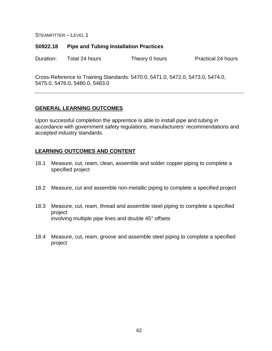#### **S0922.18 Pipe and Tubing Installation Practices**

Duration: Total 24 hours Theory 0 hours Practical 24 hours

Cross-Reference to Training Standards: 5470.0, 5471.0, 5472.0, 5473.0, 5474.0, 5475.0, 5476.0, 5480.0, 5483.0

### **GENERAL LEARNING OUTCOMES**

Upon successful completion the apprentice is able to install pipe and tubing in accordance with government safety regulations, manufacturers' recommendations and accepted industry standards.

- 18.1 Measure, cut, ream, clean, assemble and solder copper piping to complete a specified project
- 18.2 Measure, cut and assemble non-metallic piping to complete a specified project
- 18.3 Measure, cut, ream, thread and assemble steel piping to complete a specified project involving multiple pipe lines and double 45° offsets
- 18.4 Measure, cut, ream, groove and assemble steel piping to complete a specified project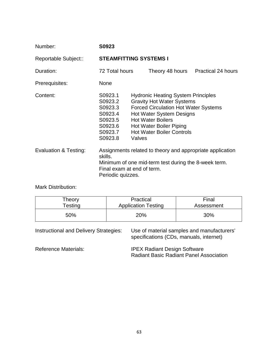| Number:               | S0923                                                                                                                                                                           |                                                                                                                                                                                                                                                                             |  |  |                                    |
|-----------------------|---------------------------------------------------------------------------------------------------------------------------------------------------------------------------------|-----------------------------------------------------------------------------------------------------------------------------------------------------------------------------------------------------------------------------------------------------------------------------|--|--|------------------------------------|
| Reportable Subject::  | <b>STEAMFITTING SYSTEMS I</b>                                                                                                                                                   |                                                                                                                                                                                                                                                                             |  |  |                                    |
| Duration:             | 72 Total hours                                                                                                                                                                  |                                                                                                                                                                                                                                                                             |  |  | Theory 48 hours Practical 24 hours |
| Prerequisites:        | <b>None</b>                                                                                                                                                                     |                                                                                                                                                                                                                                                                             |  |  |                                    |
| Content:              | S0923.1<br>S0923.2<br>S0923.3<br>S0923.4<br>S0923.5<br>S0923.6<br>S0923.7<br>S0923.8                                                                                            | <b>Hydronic Heating System Principles</b><br><b>Gravity Hot Water Systems</b><br><b>Forced Circulation Hot Water Systems</b><br><b>Hot Water System Designs</b><br><b>Hot Water Boilers</b><br><b>Hot Water Boiler Piping</b><br><b>Hot Water Boiler Controls</b><br>Valves |  |  |                                    |
| Evaluation & Testing: | Assignments related to theory and appropriate application<br>skills.<br>Minimum of one mid-term test during the 8-week term.<br>Final exam at end of term.<br>Periodic quizzes. |                                                                                                                                                                                                                                                                             |  |  |                                    |

Mark Distribution:

| Theory     | Practical                  | Final      |  |
|------------|----------------------------|------------|--|
| $T$ esting | <b>Application Testing</b> | Assessment |  |
| 50%        | 20%                        | 30%        |  |

Instructional and Delivery Strategies: Use of material samples and manufacturers' specifications (CDs, manuals, internet) Reference Materials: **IPEX Radiant Design Software** Radiant Basic Radiant Panel Association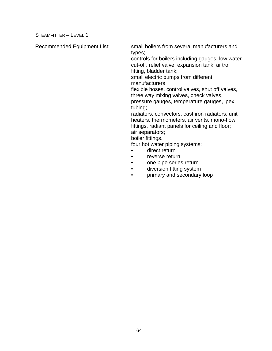Recommended Equipment List: small boilers from several manufacturers and types;

> controls for boilers including gauges, low water cut-off, relief valve, expansion tank, airtrol fitting, bladder tank;

small electric pumps from different manufacturers

flexible hoses, control valves, shut off valves, three way mixing valves, check valves, pressure gauges, temperature gauges, ipex tubing;

radiators, convectors, cast iron radiators, unit heaters, thermometers, air vents, mono-flow fittings, radiant panels for ceiling and floor; air separators; boiler fittings.

four hot water piping systems:

- direct return
- reverse return
- one pipe series return
- diversion fitting system
- primary and secondary loop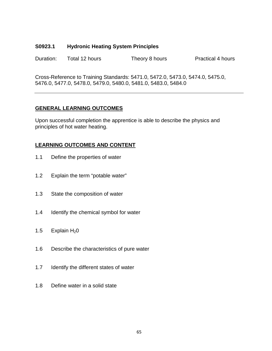## **S0923.1 Hydronic Heating System Principles**

Duration: Total 12 hours Theory 8 hours Practical 4 hours

Cross-Reference to Training Standards: 5471.0, 5472.0, 5473.0, 5474.0, 5475.0, 5476.0, 5477.0, 5478.0, 5479.0, 5480.0, 5481.0, 5483.0, 5484.0

## **GENERAL LEARNING OUTCOMES**

Upon successful completion the apprentice is able to describe the physics and principles of hot water heating.

- 1.1 Define the properties of water
- 1.2 Explain the term "potable water"
- 1.3 State the composition of water
- 1.4 Identify the chemical symbol for water
- 1.5 Explain  $H<sub>2</sub>0$
- 1.6 Describe the characteristics of pure water
- 1.7 Identify the different states of water
- 1.8 Define water in a solid state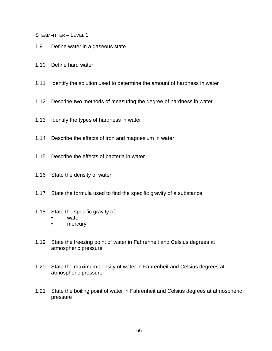- 1.9 Define water in a gaseous state
- 1.10 Define hard water
- 1.11 Identify the solution used to determine the amount of hardness in water
- 1.12 Describe two methods of measuring the degree of hardness in water
- 1.13 Identify the types of hardness in water
- 1.14 Describe the effects of iron and magnesium in water
- 1.15 Describe the effects of bacteria in water
- 1.16 State the density of water
- 1.17 State the formula used to find the specific gravity of a substance
- 1.18 State the specific gravity of:
	- water
	- mercury
- 1.19 State the freezing point of water in Fahrenheit and Celsius degrees at atmospheric pressure
- 1.20 State the maximum density of water in Fahrenheit and Celsius degrees at atmospheric pressure
- 1.21 State the boiling point of water in Fahrenheit and Celsius degrees at atmospheric pressure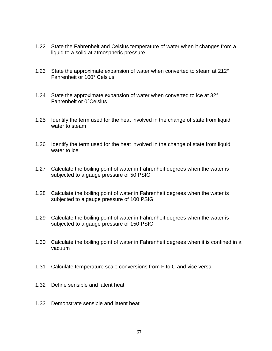- 1.22 State the Fahrenheit and Celsius temperature of water when it changes from a liquid to a solid at atmospheric pressure
- 1.23 State the approximate expansion of water when converted to steam at 212° Fahrenheit or 100° Celsius
- 1.24 State the approximate expansion of water when converted to ice at 32° Fahrenheit or 0°Celsius
- 1.25 Identify the term used for the heat involved in the change of state from liquid water to steam
- 1.26 Identify the term used for the heat involved in the change of state from liquid water to ice
- 1.27 Calculate the boiling point of water in Fahrenheit degrees when the water is subjected to a gauge pressure of 50 PSIG
- 1.28 Calculate the boiling point of water in Fahrenheit degrees when the water is subjected to a gauge pressure of 100 PSIG
- 1.29 Calculate the boiling point of water in Fahrenheit degrees when the water is subjected to a gauge pressure of 150 PSIG
- 1.30 Calculate the boiling point of water in Fahrenheit degrees when it is confined in a vacuum
- 1.31 Calculate temperature scale conversions from F to C and vice versa
- 1.32 Define sensible and latent heat
- 1.33 Demonstrate sensible and latent heat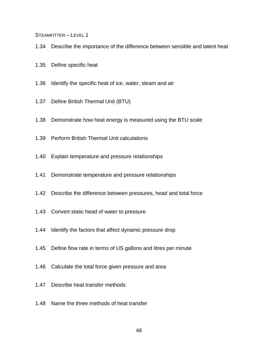- 1.34 Describe the importance of the difference between sensible and latent heat
- 1.35 Define specific heat
- 1.36 Identify the specific heat of ice, water, steam and air
- 1.37 Define British Thermal Unit (BTU)
- 1.38 Demonstrate how heat energy is measured using the BTU scale
- 1.39 Perform British Thermal Unit calculations
- 1.40 Explain temperature and pressure relationships
- 1.41 Demonstrate temperature and pressure relationships
- 1.42 Describe the difference between pressures, head and total force
- 1.43 Convert static head of water to pressure
- 1.44 Identify the factors that affect dynamic pressure drop
- 1.45 Define flow rate in terms of US gallons and litres per minute
- 1.46 Calculate the total force given pressure and area
- 1.47 Describe heat transfer methods
- 1.48 Name the three methods of heat transfer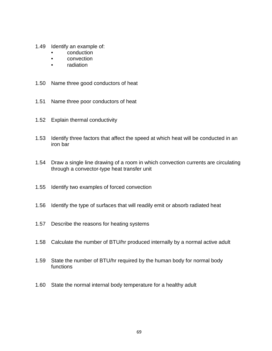- 1.49 Identify an example of:
	- conduction
	- convection
	- radiation
- 1.50 Name three good conductors of heat
- 1.51 Name three poor conductors of heat
- 1.52 Explain thermal conductivity
- 1.53 Identify three factors that affect the speed at which heat will be conducted in an iron bar
- 1.54 Draw a single line drawing of a room in which convection currents are circulating through a convector-type heat transfer unit
- 1.55 Identify two examples of forced convection
- 1.56 Identify the type of surfaces that will readily emit or absorb radiated heat
- 1.57 Describe the reasons for heating systems
- 1.58 Calculate the number of BTU/hr produced internally by a normal active adult
- 1.59 State the number of BTU/hr required by the human body for normal body functions
- 1.60 State the normal internal body temperature for a healthy adult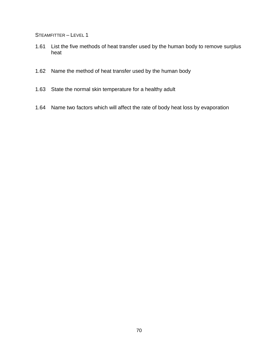- 1.61 List the five methods of heat transfer used by the human body to remove surplus heat
- 1.62 Name the method of heat transfer used by the human body
- 1.63 State the normal skin temperature for a healthy adult
- 1.64 Name two factors which will affect the rate of body heat loss by evaporation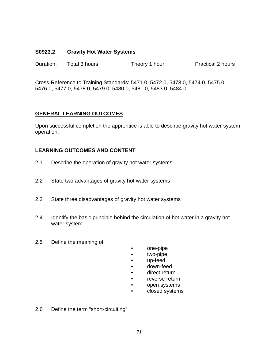### **S0923.2 Gravity Hot Water Systems**

| Duration: | Total 3 hours | Theory 1 hour | <b>Practical 2 hours</b> |
|-----------|---------------|---------------|--------------------------|
|-----------|---------------|---------------|--------------------------|

Cross-Reference to Training Standards: 5471.0, 5472.0, 5473.0, 5474.0, 5475.0, 5476.0, 5477.0, 5478.0, 5479.0, 5480.0, 5481.0, 5483.0, 5484.0

# **GENERAL LEARNING OUTCOMES**

Upon successful completion the apprentice is able to describe gravity hot water system operation.

- 2.1 Describe the operation of gravity hot water systems
- 2.2 State two advantages of gravity hot water systems
- 2.3 State three disadvantages of gravity hot water systems
- 2.4 Identify the basic principle behind the circulation of hot water in a gravity hot water system
- 2.5 Define the meaning of:
- one-pipe
- two-pipe
- up-feed
- down-feed
- direct return
- reverse return
- open systems
- closed systems
- 2.6 Define the term "short-circuiting"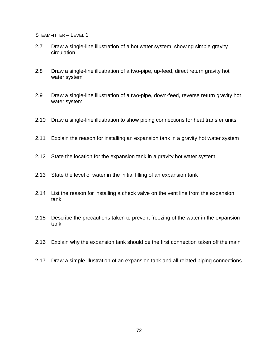- 2.7 Draw a single-line illustration of a hot water system, showing simple gravity circulation
- 2.8 Draw a single-line illustration of a two-pipe, up-feed, direct return gravity hot water system
- 2.9 Draw a single-line illustration of a two-pipe, down-feed, reverse return gravity hot water system
- 2.10 Draw a single-line illustration to show piping connections for heat transfer units
- 2.11 Explain the reason for installing an expansion tank in a gravity hot water system
- 2.12 State the location for the expansion tank in a gravity hot water system
- 2.13 State the level of water in the initial filling of an expansion tank
- 2.14 List the reason for installing a check valve on the vent line from the expansion tank
- 2.15 Describe the precautions taken to prevent freezing of the water in the expansion tank
- 2.16 Explain why the expansion tank should be the first connection taken off the main
- 2.17 Draw a simple illustration of an expansion tank and all related piping connections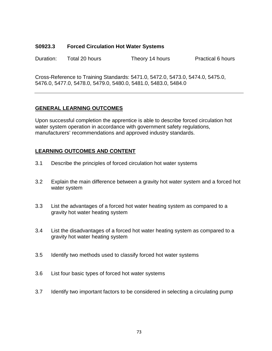### **S0923.3 Forced Circulation Hot Water Systems**

Duration: Total 20 hours Theory 14 hours Practical 6 hours

Cross-Reference to Training Standards: 5471.0, 5472.0, 5473.0, 5474.0, 5475.0, 5476.0, 5477.0, 5478.0, 5479.0, 5480.0, 5481.0, 5483.0, 5484.0

# **GENERAL LEARNING OUTCOMES**

Upon successful completion the apprentice is able to describe forced circulation hot water system operation in accordance with government safety regulations, manufacturers' recommendations and approved industry standards.

- 3.1 Describe the principles of forced circulation hot water systems
- 3.2 Explain the main difference between a gravity hot water system and a forced hot water system
- 3.3 List the advantages of a forced hot water heating system as compared to a gravity hot water heating system
- 3.4 List the disadvantages of a forced hot water heating system as compared to a gravity hot water heating system
- 3.5 Identify two methods used to classify forced hot water systems
- 3.6 List four basic types of forced hot water systems
- 3.7 Identify two important factors to be considered in selecting a circulating pump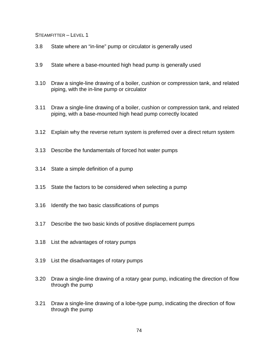- 3.8 State where an "in-line" pump or circulator is generally used
- 3.9 State where a base-mounted high head pump is generally used
- 3.10 Draw a single-line drawing of a boiler, cushion or compression tank, and related piping, with the in-line pump or circulator
- 3.11 Draw a single-line drawing of a boiler, cushion or compression tank, and related piping, with a base-mounted high head pump correctly located
- 3.12 Explain why the reverse return system is preferred over a direct return system
- 3.13 Describe the fundamentals of forced hot water pumps
- 3.14 State a simple definition of a pump
- 3.15 State the factors to be considered when selecting a pump
- 3.16 Identify the two basic classifications of pumps
- 3.17 Describe the two basic kinds of positive displacement pumps
- 3.18 List the advantages of rotary pumps
- 3.19 List the disadvantages of rotary pumps
- 3.20 Draw a single-line drawing of a rotary gear pump, indicating the direction of flow through the pump
- 3.21 Draw a single-line drawing of a lobe-type pump, indicating the direction of flow through the pump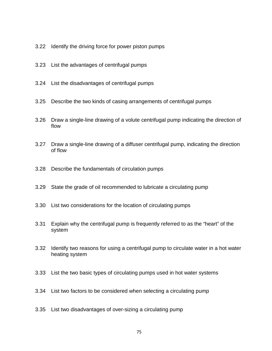- 3.22 Identify the driving force for power piston pumps
- 3.23 List the advantages of centrifugal pumps
- 3.24 List the disadvantages of centrifugal pumps
- 3.25 Describe the two kinds of casing arrangements of centrifugal pumps
- 3.26 Draw a single-line drawing of a volute centrifugal pump indicating the direction of flow
- 3.27 Draw a single-line drawing of a diffuser centrifugal pump, indicating the direction of flow
- 3.28 Describe the fundamentals of circulation pumps
- 3.29 State the grade of oil recommended to lubricate a circulating pump
- 3.30 List two considerations for the location of circulating pumps
- 3.31 Explain why the centrifugal pump is frequently referred to as the "heart" of the system
- 3.32 Identify two reasons for using a centrifugal pump to circulate water in a hot water heating system
- 3.33 List the two basic types of circulating pumps used in hot water systems
- 3.34 List two factors to be considered when selecting a circulating pump
- 3.35 List two disadvantages of over-sizing a circulating pump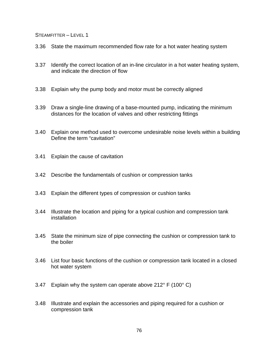- 3.36 State the maximum recommended flow rate for a hot water heating system
- 3.37 Identify the correct location of an in-line circulator in a hot water heating system, and indicate the direction of flow
- 3.38 Explain why the pump body and motor must be correctly aligned
- 3.39 Draw a single-line drawing of a base-mounted pump, indicating the minimum distances for the location of valves and other restricting fittings
- 3.40 Explain one method used to overcome undesirable noise levels within a building Define the term "cavitation"
- 3.41 Explain the cause of cavitation
- 3.42 Describe the fundamentals of cushion or compression tanks
- 3.43 Explain the different types of compression or cushion tanks
- 3.44 Illustrate the location and piping for a typical cushion and compression tank installation
- 3.45 State the minimum size of pipe connecting the cushion or compression tank to the boiler
- 3.46 List four basic functions of the cushion or compression tank located in a closed hot water system
- 3.47 Explain why the system can operate above 212° F (100° C)
- 3.48 Illustrate and explain the accessories and piping required for a cushion or compression tank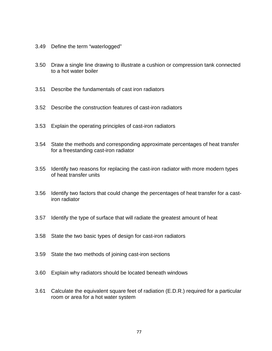- 3.49 Define the term "waterlogged"
- 3.50 Draw a single line drawing to illustrate a cushion or compression tank connected to a hot water boiler
- 3.51 Describe the fundamentals of cast iron radiators
- 3.52 Describe the construction features of cast-iron radiators
- 3.53 Explain the operating principles of cast-iron radiators
- 3.54 State the methods and corresponding approximate percentages of heat transfer for a freestanding cast-iron radiator
- 3.55 Identify two reasons for replacing the cast-iron radiator with more modern types of heat transfer units
- 3.56 Identify two factors that could change the percentages of heat transfer for a castiron radiator
- 3.57 Identify the type of surface that will radiate the greatest amount of heat
- 3.58 State the two basic types of design for cast-iron radiators
- 3.59 State the two methods of joining cast-iron sections
- 3.60 Explain why radiators should be located beneath windows
- 3.61 Calculate the equivalent square feet of radiation (E.D.R.) required for a particular room or area for a hot water system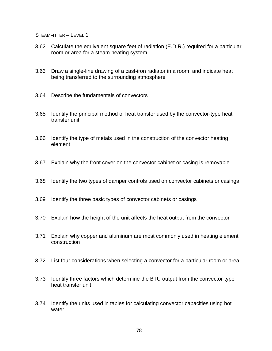- 3.62 Calculate the equivalent square feet of radiation (E.D.R.) required for a particular room or area for a steam heating system
- 3.63 Draw a single-line drawing of a cast-iron radiator in a room, and indicate heat being transferred to the surrounding atmosphere
- 3.64 Describe the fundamentals of convectors
- 3.65 Identify the principal method of heat transfer used by the convector-type heat transfer unit
- 3.66 Identify the type of metals used in the construction of the convector heating element
- 3.67 Explain why the front cover on the convector cabinet or casing is removable
- 3.68 Identify the two types of damper controls used on convector cabinets or casings
- 3.69 Identify the three basic types of convector cabinets or casings
- 3.70 Explain how the height of the unit affects the heat output from the convector
- 3.71 Explain why copper and aluminum are most commonly used in heating element construction
- 3.72 List four considerations when selecting a convector for a particular room or area
- 3.73 Identify three factors which determine the BTU output from the convector-type heat transfer unit
- 3.74 Identify the units used in tables for calculating convector capacities using hot water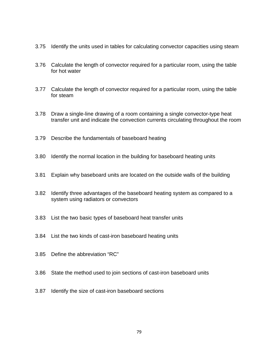- 3.75 Identify the units used in tables for calculating convector capacities using steam
- 3.76 Calculate the length of convector required for a particular room, using the table for hot water
- 3.77 Calculate the length of convector required for a particular room, using the table for steam
- 3.78 Draw a single-line drawing of a room containing a single convector-type heat transfer unit and indicate the convection currents circulating throughout the room
- 3.79 Describe the fundamentals of baseboard heating
- 3.80 Identify the normal location in the building for baseboard heating units
- 3.81 Explain why baseboard units are located on the outside walls of the building
- 3.82 Identify three advantages of the baseboard heating system as compared to a system using radiators or convectors
- 3.83 List the two basic types of baseboard heat transfer units
- 3.84 List the two kinds of cast-iron baseboard heating units
- 3.85 Define the abbreviation "RC"
- 3.86 State the method used to join sections of cast-iron baseboard units
- 3.87 Identify the size of cast-iron baseboard sections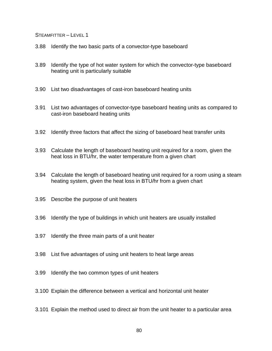- 3.88 Identify the two basic parts of a convector-type baseboard
- 3.89 Identify the type of hot water system for which the convector-type baseboard heating unit is particularly suitable
- 3.90 List two disadvantages of cast-iron baseboard heating units
- 3.91 List two advantages of convector-type baseboard heating units as compared to cast-iron baseboard heating units
- 3.92 Identify three factors that affect the sizing of baseboard heat transfer units
- 3.93 Calculate the length of baseboard heating unit required for a room, given the heat loss in BTU/hr, the water temperature from a given chart
- 3.94 Calculate the length of baseboard heating unit required for a room using a steam heating system, given the heat loss in BTU/hr from a given chart
- 3.95 Describe the purpose of unit heaters
- 3.96 Identify the type of buildings in which unit heaters are usually installed
- 3.97 Identify the three main parts of a unit heater
- 3.98 List five advantages of using unit heaters to heat large areas
- 3.99 Identify the two common types of unit heaters
- 3.100 Explain the difference between a vertical and horizontal unit heater
- 3.101 Explain the method used to direct air from the unit heater to a particular area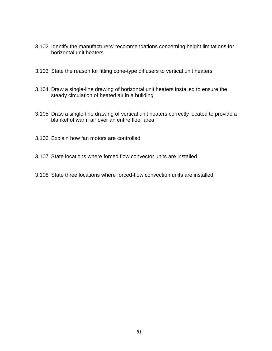- 3.102 Identify the manufacturers' recommendations concerning height limitations for horizontal unit heaters
- 3.103 State the reason for fitting cone-type diffusers to vertical unit heaters
- 3.104 Draw a single-line drawing of horizontal unit heaters installed to ensure the steady circulation of heated air in a building
- 3.105 Draw a single-line drawing of vertical unit heaters correctly located to provide a blanket of warm air over an entire floor area
- 3.106 Explain how fan motors are controlled
- 3.107 State locations where forced flow convector units are installed
- 3.108 State three locations where forced-flow convection units are installed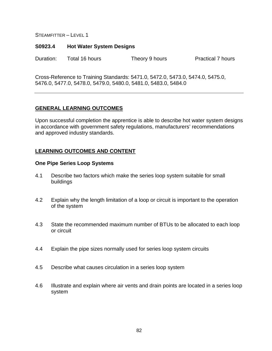#### **S0923.4 Hot Water System Designs**

Duration: Total 16 hours Theory 9 hours Practical 7 hours

Cross-Reference to Training Standards: 5471.0, 5472.0, 5473.0, 5474.0, 5475.0, 5476.0, 5477.0, 5478.0, 5479.0, 5480.0, 5481.0, 5483.0, 5484.0

### **GENERAL LEARNING OUTCOMES**

Upon successful completion the apprentice is able to describe hot water system designs in accordance with government safety regulations, manufacturers' recommendations and approved industry standards.

### **LEARNING OUTCOMES AND CONTENT**

#### **One Pipe Series Loop Systems**

- 4.1 Describe two factors which make the series loop system suitable for small buildings
- 4.2 Explain why the length limitation of a loop or circuit is important to the operation of the system
- 4.3 State the recommended maximum number of BTUs to be allocated to each loop or circuit
- 4.4 Explain the pipe sizes normally used for series loop system circuits
- 4.5 Describe what causes circulation in a series loop system
- 4.6 Illustrate and explain where air vents and drain points are located in a series loop system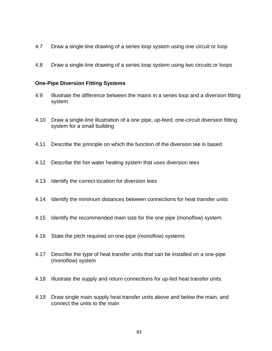- 4.7 Draw a single-line drawing of a series loop system using one circuit or loop
- 4.8 Draw a single-line drawing of a series loop system using two circuits or loops

### **One-Pipe Diversion Fitting Systems**

- 4.9 Illustrate the difference between the mains in a series loop and a diversion fitting system
- 4.10 Draw a single-line illustration of a one pipe, up-feed, one-circuit diversion fitting system for a small building
- 4.11 Describe the principle on which the function of the diversion tee is based
- 4.12 Describe the hot water heating system that uses diversion tees
- 4.13 Identify the correct location for diversion tees
- 4.14 Identify the minimum distances between connections for heat transfer units
- 4.15 Identify the recommended main size for the one pipe (monoflow) system
- 4.16 State the pitch required on one-pipe (monoflow) systems
- 4.17 Describe the type of heat transfer units that can be installed on a one-pipe (monoflow) system
- 4.18 Illustrate the supply and return connections for up-fed heat transfer units
- 4.19 Draw single main supply heat transfer units above and below the main, and connect the units to the main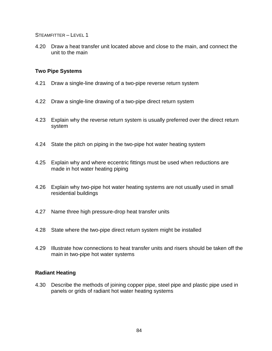4.20 Draw a heat transfer unit located above and close to the main, and connect the unit to the main

# **Two Pipe Systems**

- 4.21 Draw a single-line drawing of a two-pipe reverse return system
- 4.22 Draw a single-line drawing of a two-pipe direct return system
- 4.23 Explain why the reverse return system is usually preferred over the direct return system
- 4.24 State the pitch on piping in the two-pipe hot water heating system
- 4.25 Explain why and where eccentric fittings must be used when reductions are made in hot water heating piping
- 4.26 Explain why two-pipe hot water heating systems are not usually used in small residential buildings
- 4.27 Name three high pressure-drop heat transfer units
- 4.28 State where the two-pipe direct return system might be installed
- 4.29 Illustrate how connections to heat transfer units and risers should be taken off the main in two-pipe hot water systems

### **Radiant Heating**

4.30 Describe the methods of joining copper pipe, steel pipe and plastic pipe used in panels or grids of radiant hot water heating systems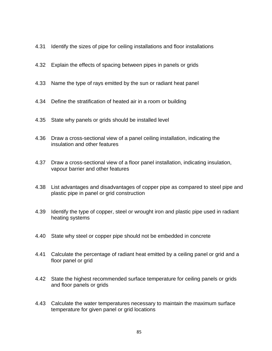- 4.31 Identify the sizes of pipe for ceiling installations and floor installations
- 4.32 Explain the effects of spacing between pipes in panels or grids
- 4.33 Name the type of rays emitted by the sun or radiant heat panel
- 4.34 Define the stratification of heated air in a room or building
- 4.35 State why panels or grids should be installed level
- 4.36 Draw a cross-sectional view of a panel ceiling installation, indicating the insulation and other features
- 4.37 Draw a cross-sectional view of a floor panel installation, indicating insulation, vapour barrier and other features
- 4.38 List advantages and disadvantages of copper pipe as compared to steel pipe and plastic pipe in panel or grid construction
- 4.39 Identify the type of copper, steel or wrought iron and plastic pipe used in radiant heating systems
- 4.40 State why steel or copper pipe should not be embedded in concrete
- 4.41 Calculate the percentage of radiant heat emitted by a ceiling panel or grid and a floor panel or grid
- 4.42 State the highest recommended surface temperature for ceiling panels or grids and floor panels or grids
- 4.43 Calculate the water temperatures necessary to maintain the maximum surface temperature for given panel or grid locations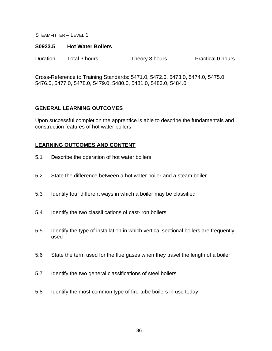#### **S0923.5 Hot Water Boilers**

Duration: Total 3 hours Theory 3 hours Practical 0 hours

Cross-Reference to Training Standards: 5471.0, 5472.0, 5473.0, 5474.0, 5475.0, 5476.0, 5477.0, 5478.0, 5479.0, 5480.0, 5481.0, 5483.0, 5484.0

### **GENERAL LEARNING OUTCOMES**

Upon successful completion the apprentice is able to describe the fundamentals and construction features of hot water boilers.

- 5.1 Describe the operation of hot water boilers
- 5.2 State the difference between a hot water boiler and a steam boiler
- 5.3 Identify four different ways in which a boiler may be classified
- 5.4 Identify the two classifications of cast-iron boilers
- 5.5 Identify the type of installation in which vertical sectional boilers are frequently used
- 5.6 State the term used for the flue gases when they travel the length of a boiler
- 5.7 Identify the two general classifications of steel boilers
- 5.8 Identify the most common type of fire-tube boilers in use today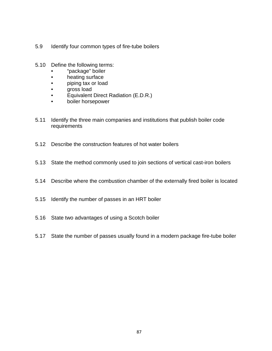- 5.9 Identify four common types of fire-tube boilers
- 5.10 Define the following terms:
	- "package" boiler
	- heating surface
	- piping tax or load
	- gross load
	- Equivalent Direct Radiation (E.D.R.)
	- boiler horsepower
- 5.11 Identify the three main companies and institutions that publish boiler code requirements
- 5.12 Describe the construction features of hot water boilers
- 5.13 State the method commonly used to join sections of vertical cast-iron boilers
- 5.14 Describe where the combustion chamber of the externally fired boiler is located
- 5.15 Identify the number of passes in an HRT boiler
- 5.16 State two advantages of using a Scotch boiler
- 5.17 State the number of passes usually found in a modern package fire-tube boiler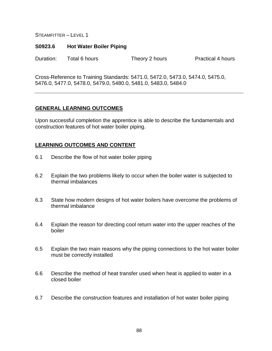#### **S0923.6 Hot Water Boiler Piping**

Duration: Total 6 hours Theory 2 hours Practical 4 hours

Cross-Reference to Training Standards: 5471.0, 5472.0, 5473.0, 5474.0, 5475.0, 5476.0, 5477.0, 5478.0, 5479.0, 5480.0, 5481.0, 5483.0, 5484.0

### **GENERAL LEARNING OUTCOMES**

Upon successful completion the apprentice is able to describe the fundamentals and construction features of hot water boiler piping.

- 6.1 Describe the flow of hot water boiler piping
- 6.2 Explain the two problems likely to occur when the boiler water is subjected to thermal imbalances
- 6.3 State how modern designs of hot water boilers have overcome the problems of thermal imbalance
- 6.4 Explain the reason for directing cool return water into the upper reaches of the boiler
- 6.5 Explain the two main reasons why the piping connections to the hot water boiler must be correctly installed
- 6.6 Describe the method of heat transfer used when heat is applied to water in a closed boiler
- 6.7 Describe the construction features and installation of hot water boiler piping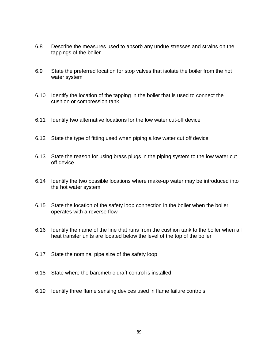- 6.8 Describe the measures used to absorb any undue stresses and strains on the tappings of the boiler
- 6.9 State the preferred location for stop valves that isolate the boiler from the hot water system
- 6.10 Identify the location of the tapping in the boiler that is used to connect the cushion or compression tank
- 6.11 Identify two alternative locations for the low water cut-off device
- 6.12 State the type of fitting used when piping a low water cut off device
- 6.13 State the reason for using brass plugs in the piping system to the low water cut off device
- 6.14 Identify the two possible locations where make-up water may be introduced into the hot water system
- 6.15 State the location of the safety loop connection in the boiler when the boiler operates with a reverse flow
- 6.16 Identify the name of the line that runs from the cushion tank to the boiler when all heat transfer units are located below the level of the top of the boiler
- 6.17 State the nominal pipe size of the safety loop
- 6.18 State where the barometric draft control is installed
- 6.19 Identify three flame sensing devices used in flame failure controls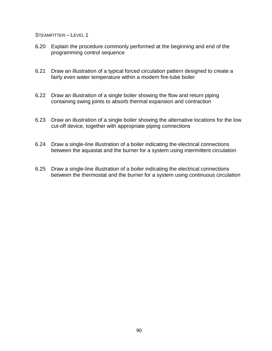- 6.20 Explain the procedure commonly performed at the beginning and end of the programming control sequence
- 6.21 Draw an illustration of a typical forced circulation pattern designed to create a fairly even water temperature within a modern fire-tube boiler
- 6.22 Draw an illustration of a single boiler showing the flow and return piping containing swing joints to absorb thermal expansion and contraction
- 6.23 Draw an illustration of a single boiler showing the alternative locations for the low cut-off device, together with appropriate piping connections
- 6.24 Draw a single-line illustration of a boiler indicating the electrical connections between the aquastat and the burner for a system using intermittent circulation
- 6.25 Draw a single-line illustration of a boiler indicating the electrical connections between the thermostat and the burner for a system using continuous circulation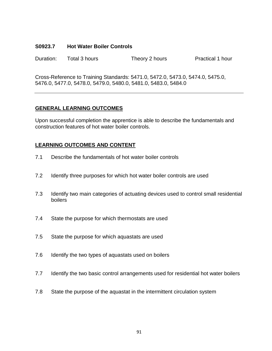#### **S0923.7 Hot Water Boiler Controls**

Duration: Total 3 hours Theory 2 hours Practical 1 hour

Cross-Reference to Training Standards: 5471.0, 5472.0, 5473.0, 5474.0, 5475.0, 5476.0, 5477.0, 5478.0, 5479.0, 5480.0, 5481.0, 5483.0, 5484.0

# **GENERAL LEARNING OUTCOMES**

Upon successful completion the apprentice is able to describe the fundamentals and construction features of hot water boiler controls.

- 7.1 Describe the fundamentals of hot water boiler controls
- 7.2 Identify three purposes for which hot water boiler controls are used
- 7.3 Identify two main categories of actuating devices used to control small residential boilers
- 7.4 State the purpose for which thermostats are used
- 7.5 State the purpose for which aquastats are used
- 7.6 Identify the two types of aquastats used on boilers
- 7.7 Identify the two basic control arrangements used for residential hot water boilers
- 7.8 State the purpose of the aquastat in the intermittent circulation system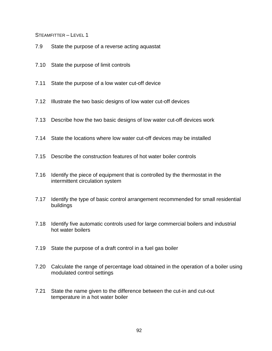- 7.9 State the purpose of a reverse acting aquastat
- 7.10 State the purpose of limit controls
- 7.11 State the purpose of a low water cut-off device
- 7.12 Illustrate the two basic designs of low water cut-off devices
- 7.13 Describe how the two basic designs of low water cut-off devices work
- 7.14 State the locations where low water cut-off devices may be installed
- 7.15 Describe the construction features of hot water boiler controls
- 7.16 Identify the piece of equipment that is controlled by the thermostat in the intermittent circulation system
- 7.17 Identify the type of basic control arrangement recommended for small residential buildings
- 7.18 Identify five automatic controls used for large commercial boilers and industrial hot water boilers
- 7.19 State the purpose of a draft control in a fuel gas boiler
- 7.20 Calculate the range of percentage load obtained in the operation of a boiler using modulated control settings
- 7.21 State the name given to the difference between the cut-in and cut-out temperature in a hot water boiler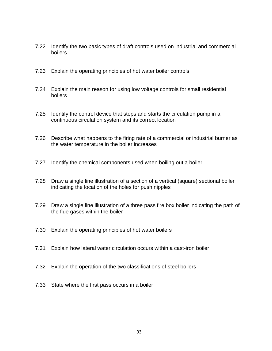- 7.22 Identify the two basic types of draft controls used on industrial and commercial boilers
- 7.23 Explain the operating principles of hot water boiler controls
- 7.24 Explain the main reason for using low voltage controls for small residential boilers
- 7.25 Identify the control device that stops and starts the circulation pump in a continuous circulation system and its correct location
- 7.26 Describe what happens to the firing rate of a commercial or industrial burner as the water temperature in the boiler increases
- 7.27 Identify the chemical components used when boiling out a boiler
- 7.28 Draw a single line illustration of a section of a vertical (square) sectional boiler indicating the location of the holes for push nipples
- 7.29 Draw a single line illustration of a three pass fire box boiler indicating the path of the flue gases within the boiler
- 7.30 Explain the operating principles of hot water boilers
- 7.31 Explain how lateral water circulation occurs within a cast-iron boiler
- 7.32 Explain the operation of the two classifications of steel boilers
- 7.33 State where the first pass occurs in a boiler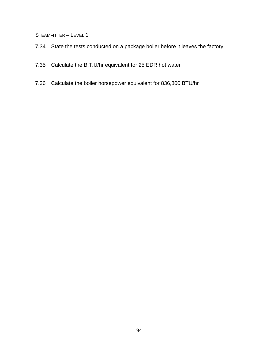- 7.34 State the tests conducted on a package boiler before it leaves the factory
- 7.35 Calculate the B.T.U/hr equivalent for 25 EDR hot water
- 7.36 Calculate the boiler horsepower equivalent for 836,800 BTU/hr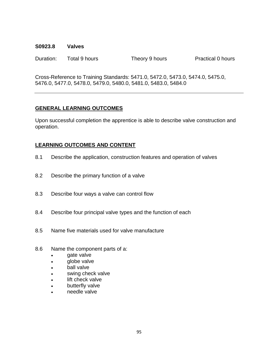#### **S0923.8 Valves**

Duration: Total 9 hours Theory 9 hours Practical 0 hours

Cross-Reference to Training Standards: 5471.0, 5472.0, 5473.0, 5474.0, 5475.0, 5476.0, 5477.0, 5478.0, 5479.0, 5480.0, 5481.0, 5483.0, 5484.0

# **GENERAL LEARNING OUTCOMES**

Upon successful completion the apprentice is able to describe valve construction and operation.

- 8.1 Describe the application, construction features and operation of valves
- 8.2 Describe the primary function of a valve
- 8.3 Describe four ways a valve can control flow
- 8.4 Describe four principal valve types and the function of each
- 8.5 Name five materials used for valve manufacture
- 8.6 Name the component parts of a:
	- gate valve
	- **globe valve**
	- ball valve
	- swing check valve
	- lift check valve
	- butterfly valve
	- needle valve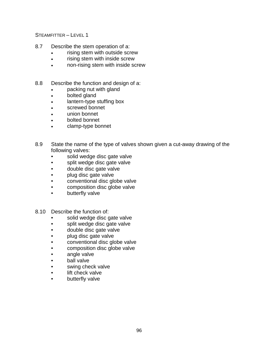- 8.7 Describe the stem operation of a:
	- rising stem with outside screw
	- rising stem with inside screw
	- non-rising stem with inside screw
- 8.8 Describe the function and design of a:
	- packing nut with gland
	- bolted gland
	- lantern-type stuffing box
	- screwed bonnet
	- union bonnet
	- bolted bonnet
	- clamp-type bonnet
- 8.9 State the name of the type of valves shown given a cut-away drawing of the following valves:
	- solid wedge disc gate valve
	- split wedge disc gate valve
	- double disc gate valve
	- plug disc gate valve
	- conventional disc globe valve
	- composition disc globe valve
	- butterfly valve
- 8.10 Describe the function of:
	- solid wedge disc gate valve
	- split wedge disc gate valve
	- double disc gate valve
	- plug disc gate valve
	- conventional disc globe valve
	- composition disc globe valve
	- angle valve
	- ball valve
	- swing check valve
	- lift check valve
	- butterfly valve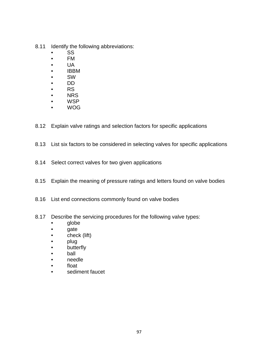- 8.11 Identify the following abbreviations:
	- SS
	- FM
	- UA
	- IBBM
	- SW
	- DD
	- RS
	- NRS
	- WSP
	- WOG
- 8.12 Explain valve ratings and selection factors for specific applications
- 8.13 List six factors to be considered in selecting valves for specific applications
- 8.14 Select correct valves for two given applications
- 8.15 Explain the meaning of pressure ratings and letters found on valve bodies
- 8.16 List end connections commonly found on valve bodies
- 8.17 Describe the servicing procedures for the following valve types:
	- globe
	- gate
	- check (lift)
	- plug
	- butterfly
	- ball
	- needle
	- float
	- sediment faucet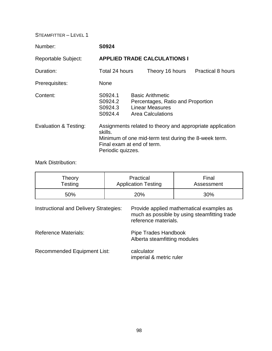| Number:                    | S0924                                                                                                                                                                           |                                                                                                                    |                 |  |                          |  |
|----------------------------|---------------------------------------------------------------------------------------------------------------------------------------------------------------------------------|--------------------------------------------------------------------------------------------------------------------|-----------------|--|--------------------------|--|
| <b>Reportable Subject:</b> | <b>APPLIED TRADE CALCULATIONS I</b>                                                                                                                                             |                                                                                                                    |                 |  |                          |  |
| Duration:                  | Total 24 hours                                                                                                                                                                  |                                                                                                                    | Theory 16 hours |  | <b>Practical 8 hours</b> |  |
| Prerequisites:             | <b>None</b>                                                                                                                                                                     |                                                                                                                    |                 |  |                          |  |
| Content:                   | S0924.1<br>S0924.2<br>S0924.3<br>S0924.4                                                                                                                                        | <b>Basic Arithmetic</b><br>Percentages, Ratio and Proportion<br><b>Linear Measures</b><br><b>Area Calculations</b> |                 |  |                          |  |
| Evaluation & Testing:      | Assignments related to theory and appropriate application<br>skills.<br>Minimum of one mid-term test during the 8-week term.<br>Final exam at end of term.<br>Periodic quizzes. |                                                                                                                    |                 |  |                          |  |

Mark Distribution:

| Theory<br>Testing                      |  | Practical<br><b>Application Testing</b>                                                                          | Final<br>Assessment |  |  |
|----------------------------------------|--|------------------------------------------------------------------------------------------------------------------|---------------------|--|--|
| 50%                                    |  | 20%                                                                                                              | 30%                 |  |  |
| Instructional and Delivery Strategies: |  | Provide applied mathematical examples as<br>much as possible by using steamfitting trade<br>reference materials. |                     |  |  |
| <b>Reference Materials:</b>            |  | Pipe Trades Handbook<br>Alberta steamfitting modules                                                             |                     |  |  |

Recommended Equipment List: calculator imperial & metric ruler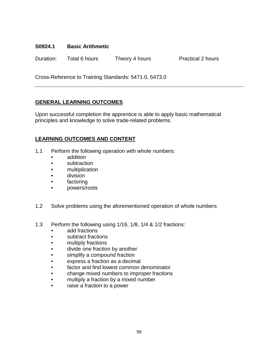### **S0924.1 Basic Arithmetic**

Duration: Total 6 hours Theory 4 hours Practical 2 hours

Cross-Reference to Training Standards: 5471.0, 5473.0

# **GENERAL LEARNING OUTCOMES**

Upon successful completion the apprentice is able to apply basic mathematical principles and knowledge to solve trade-related problems.

- 1.1 Perform the following operation with whole numbers:
	- addition
	- subtraction
	- multiplication
	- division
	- factoring
	- powers/roots
- 1.2 Solve problems using the aforementioned operation of whole numbers
- 1.3 Perform the following using 1/16, 1/8, 1/4 & 1/2 fractions:
	- add fractions
	- subtract fractions
	- multiply fractions
	- divide one fraction by another
	- simplify a compound fraction
	- express a fraction as a decimal
	- factor and find lowest common denominator
	- change mixed numbers to improper fractions
	- multiply a fraction by a mixed number
	- raise a fraction to a power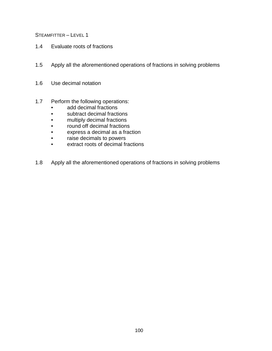- 1.4 Evaluate roots of fractions
- 1.5 Apply all the aforementioned operations of fractions in solving problems
- 1.6 Use decimal notation
- 1.7 Perform the following operations:
	- add decimal fractions
	- subtract decimal fractions
	- multiply decimal fractions
	- round off decimal fractions
	- express a decimal as a fraction
	- raise decimals to powers
	- extract roots of decimal fractions
- 1.8 Apply all the aforementioned operations of fractions in solving problems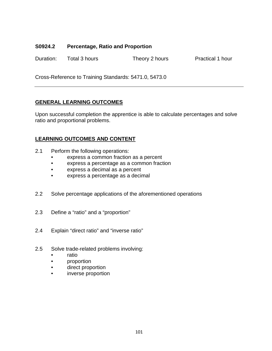# **S0924.2 Percentage, Ratio and Proportion**

Duration: Total 3 hours Theory 2 hours Practical 1 hour

Cross-Reference to Training Standards: 5471.0, 5473.0

# **GENERAL LEARNING OUTCOMES**

Upon successful completion the apprentice is able to calculate percentages and solve ratio and proportional problems.

- 2.1 Perform the following operations:
	- express a common fraction as a percent
	- express a percentage as a common fraction
	- express a decimal as a percent
	- express a percentage as a decimal
- 2.2 Solve percentage applications of the aforementioned operations
- 2.3 Define a "ratio" and a "proportion"
- 2.4 Explain "direct ratio" and "inverse ratio"
- 2.5 Solve trade-related problems involving:
	- ratio
	- proportion
	- direct proportion
	- inverse proportion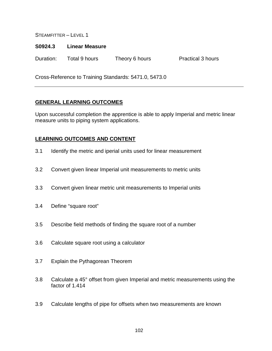#### **S0924.3 Linear Measure**

Duration: Total 9 hours Theory 6 hours Practical 3 hours

Cross-Reference to Training Standards: 5471.0, 5473.0

# **GENERAL LEARNING OUTCOMES**

Upon successful completion the apprentice is able to apply Imperial and metric linear measure units to piping system applications.

- 3.1 Identify the metric and iperial units used for linear measurement
- 3.2 Convert given linear Imperial unit measurements to metric units
- 3.3 Convert given linear metric unit measurements to Imperial units
- 3.4 Define "square root"
- 3.5 Describe field methods of finding the square root of a number
- 3.6 Calculate square root using a calculator
- 3.7 Explain the Pythagorean Theorem
- 3.8 Calculate a 45° offset from given Imperial and metric measurements using the factor of 1.414
- 3.9 Calculate lengths of pipe for offsets when two measurements are known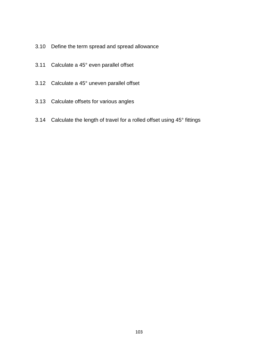- 3.10 Define the term spread and spread allowance
- 3.11 Calculate a 45° even parallel offset
- 3.12 Calculate a 45° uneven parallel offset
- 3.13 Calculate offsets for various angles
- 3.14 Calculate the length of travel for a rolled offset using 45° fittings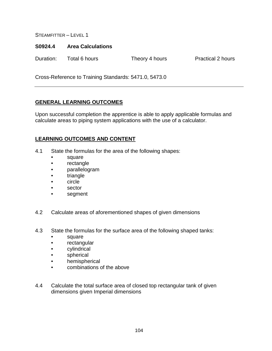#### **S0924.4 Area Calculations**

Duration: Total 6 hours Theory 4 hours Practical 2 hours

Cross-Reference to Training Standards: 5471.0, 5473.0

# **GENERAL LEARNING OUTCOMES**

Upon successful completion the apprentice is able to apply applicable formulas and calculate areas to piping system applications with the use of a calculator.

- 4.1 State the formulas for the area of the following shapes:
	- square
	- rectangle
	- parallelogram
	- triangle
	- circle
	- **sector**
	- segment
- 4.2 Calculate areas of aforementioned shapes of given dimensions
- 4.3 State the formulas for the surface area of the following shaped tanks:
	- square
	- rectangular
	- cylindrical
	- spherical
	- hemispherical
	- combinations of the above
- 4.4 Calculate the total surface area of closed top rectangular tank of given dimensions given Imperial dimensions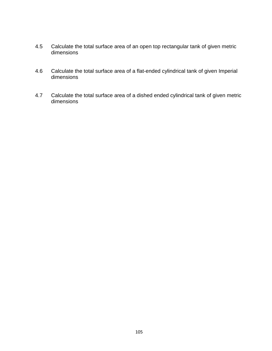- 4.5 Calculate the total surface area of an open top rectangular tank of given metric dimensions
- 4.6 Calculate the total surface area of a flat-ended cylindrical tank of given Imperial dimensions
- 4.7 Calculate the total surface area of a dished ended cylindrical tank of given metric dimensions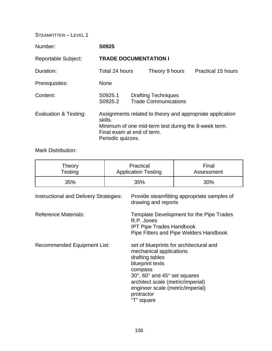| Number:                    | S0925                                                                                                                                                                           |  |                                                           |                           |
|----------------------------|---------------------------------------------------------------------------------------------------------------------------------------------------------------------------------|--|-----------------------------------------------------------|---------------------------|
| <b>Reportable Subject:</b> | <b>TRADE DOCUMENTATION I</b>                                                                                                                                                    |  |                                                           |                           |
| Duration:                  | Total 24 hours                                                                                                                                                                  |  | Theory 9 hours                                            | <b>Practical 15 hours</b> |
| Prerequisites:             | <b>None</b>                                                                                                                                                                     |  |                                                           |                           |
| Content:                   | S0925.1<br>S0925.2                                                                                                                                                              |  | <b>Drafting Techniques</b><br><b>Trade Communications</b> |                           |
| Evaluation & Testing:      | Assignments related to theory and appropriate application<br>skills.<br>Minimum of one mid-term test during the 8-week term.<br>Final exam at end of term.<br>Periodic quizzes. |  |                                                           |                           |

Mark Distribution:

| Theory  | Practical                  | Final      |  |
|---------|----------------------------|------------|--|
| Testing | <b>Application Testing</b> | Assessment |  |
| 35%     | 35%                        | 30%        |  |

| <b>Instructional and Delivery Strategies:</b> | Provide steamfitting appropriate samples of<br>drawing and reports                                                                                                                                                                                       |
|-----------------------------------------------|----------------------------------------------------------------------------------------------------------------------------------------------------------------------------------------------------------------------------------------------------------|
| <b>Reference Materials:</b>                   | Template Development for the Pipe Trades<br>R.P. Jones<br><b>IPT Pipe Trades Handbook</b><br>Pipe Fitters and Pipe Welders Handbook                                                                                                                      |
| <b>Recommended Equipment List:</b>            | set of blueprints for architectural and<br>mechanical applications<br>drafting tables<br>blueprint texts<br>compass<br>30°, 60° and 45° set squares<br>architect scale (metric/imperial)<br>engineer scale (metric/imperial)<br>protractor<br>"T" square |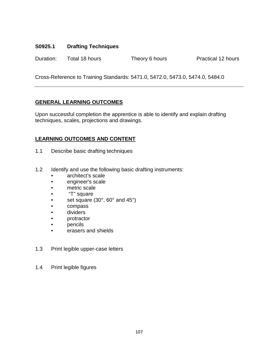# **S0925.1 Drafting Techniques**

Duration: Total 18 hours Theory 6 hours Practical 12 hours

Cross-Reference to Training Standards: 5471.0, 5472.0, 5473.0, 5474.0, 5484.0

# **GENERAL LEARNING OUTCOMES**

Upon successful completion the apprentice is able to identify and explain drafting techniques, scales, projections and drawings.

- 1.1 Describe basic drafting techniques
- 1.2 Identify and use the following basic drafting instruments:
	- architect's scale
	- engineer's scale
	- metric scale
	- "T" square
	- set square  $(30^\circ, 60^\circ, 60^\circ)$
	- compass
	- dividers
	- protractor
	- pencils
	- erasers and shields
- 1.3 Print legible upper-case letters
- 1.4 Print legible figures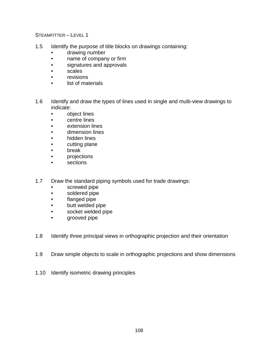- 1.5 Identify the purpose of title blocks on drawings containing:
	- drawing number
	- name of company or firm
	- signatures and approvals
	- scales
	- revisions
	- list of materials
- 1.6 Identify and draw the types of lines used in single and multi-view drawings to indicate:
	- object lines
	- centre lines
	- extension lines
	- dimension lines
	- hidden lines
	- cutting plane
	- break
	- projections
	- sections
- 1.7 Draw the standard piping symbols used for trade drawings:
	- screwed pipe
	- soldered pipe
	- flanged pipe
	- butt welded pipe
	- socket welded pipe
	- grooved pipe
- 1.8 Identify three principal views in orthographic projection and their orientation
- 1.9 Draw simple objects to scale in orthographic projections and show dimensions
- 1.10 Identify isometric drawing principles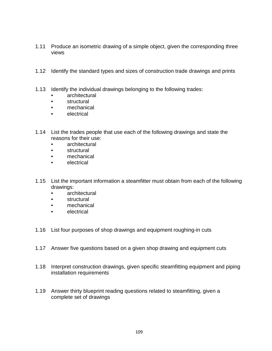- 1.11 Produce an isometric drawing of a simple object, given the corresponding three views
- 1.12 Identify the standard types and sizes of construction trade drawings and prints
- 1.13 Identify the individual drawings belonging to the following trades:
	- architectural
	- structural
	- mechanical
	- electrical
- 1.14 List the trades people that use each of the following drawings and state the reasons for their use:
	- architectural
	- structural
	- mechanical
	- electrical
- 1.15 List the important information a steamfitter must obtain from each of the following drawings:
	- architectural
	- structural
	- mechanical
	- electrical
- 1.16 List four purposes of shop drawings and equipment roughing-in cuts
- 1.17 Answer five questions based on a given shop drawing and equipment cuts
- 1.18 Interpret construction drawings, given specific steamfitting equipment and piping installation requirements
- 1.19 Answer thirty blueprint reading questions related to steamfitting, given a complete set of drawings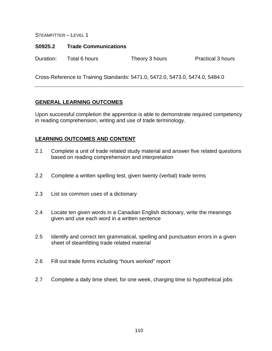### **S0925.2 Trade Communications**

Duration: Total 6 hours Theory 3 hours Practical 3 hours

Cross-Reference to Training Standards: 5471.0, 5472.0, 5473.0, 5474.0, 5484.0

# **GENERAL LEARNING OUTCOMES**

Upon successful completion the apprentice is able to demonstrate required competency in reading comprehension, writing and use of trade terminology.

- 2.1 Complete a unit of trade related study material and answer five related questions based on reading comprehension and interpretation
- 2.2 Complete a written spelling test, given twenty (verbal) trade terms
- 2.3 List six common uses of a dictionary
- 2.4 Locate ten given words in a Canadian English dictionary, write the meanings given and use each word in a written sentence
- 2.5 Identify and correct ten grammatical, spelling and punctuation errors in a given sheet of steamfitting trade related material
- 2.6 Fill out trade forms including "hours worked" report
- 2.7 Complete a daily time sheet, for one week, charging time to hypothetical jobs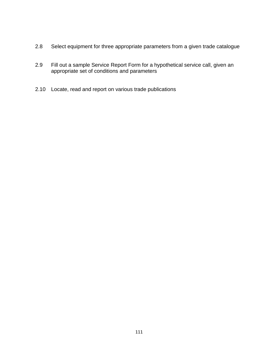- 2.8 Select equipment for three appropriate parameters from a given trade catalogue
- 2.9 Fill out a sample Service Report Form for a hypothetical service call, given an appropriate set of conditions and parameters
- 2.10 Locate, read and report on various trade publications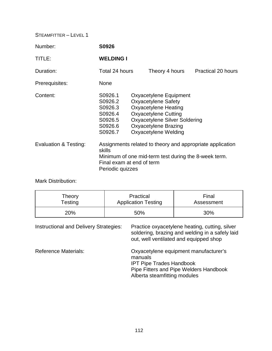| Number:               | S0926                                                                                                                                                                        |  |                                                                                                                                                                                                            |                           |
|-----------------------|------------------------------------------------------------------------------------------------------------------------------------------------------------------------------|--|------------------------------------------------------------------------------------------------------------------------------------------------------------------------------------------------------------|---------------------------|
| TITLE:                | <b>WELDING I</b>                                                                                                                                                             |  |                                                                                                                                                                                                            |                           |
| Duration:             | Total 24 hours                                                                                                                                                               |  | Theory 4 hours                                                                                                                                                                                             | <b>Practical 20 hours</b> |
| Prerequisites:        | <b>None</b>                                                                                                                                                                  |  |                                                                                                                                                                                                            |                           |
| Content:              | S0926.1<br>S0926.2<br>S0926.3<br>S0926.4<br>S0926.5<br>S0926.6<br>S0926.7                                                                                                    |  | Oxyacetylene Equipment<br><b>Oxyacetylene Safety</b><br><b>Oxyacetylene Heating</b><br><b>Oxyacetylene Cutting</b><br><b>Oxyacetylene Silver Soldering</b><br>Oxyacetylene Brazing<br>Oxyacetylene Welding |                           |
| Evaluation & Testing: | Assignments related to theory and appropriate application<br>skills<br>Minimum of one mid-term test during the 8-week term.<br>Final exam at end of term<br>Periodic quizzes |  |                                                                                                                                                                                                            |                           |

Mark Distribution:

| Theory  | Practical                  | Final      |  |
|---------|----------------------------|------------|--|
| Testing | <b>Application Testing</b> | Assessment |  |
| 20%     | 50%                        | 30%        |  |

Instructional and Delivery Strategies: Practice oxyacetylene heating, cutting, silver soldering, brazing and welding in a safely laid out, well ventilated and equipped shop Reference Materials: Oxyacetylene equipment manufacturer's manuals IPT Pipe Trades Handbook Pipe Fitters and Pipe Welders Handbook Alberta steamfitting modules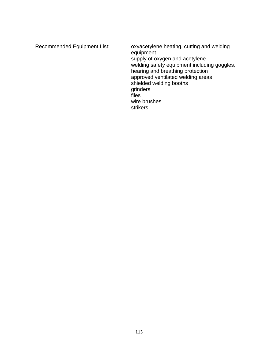Recommended Equipment List: oxyacetylene heating, cutting and welding equipment supply of oxygen and acetylene welding safety equipment including goggles, hearing and breathing protection approved ventilated welding areas shielded welding booths grinders files wire brushes strikers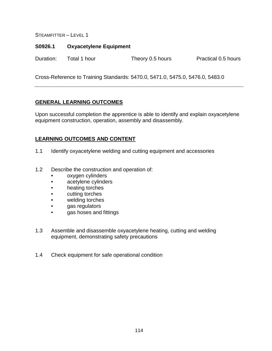### **S0926.1 Oxyacetylene Equipment**

Duration: Total 1 hour Theory 0.5 hours Practical 0.5 hours

Cross-Reference to Training Standards: 5470.0, 5471.0, 5475.0, 5476.0, 5483.0

# **GENERAL LEARNING OUTCOMES**

Upon successful completion the apprentice is able to identify and explain oxyacetylene equipment construction, operation, assembly and disassembly.

- 1.1 Identify oxyacetylene welding and cutting equipment and accessories
- 1.2 Describe the construction and operation of:
	- oxygen cylinders
	- acetylene cylinders
	- heating torches
	- cutting torches
	- welding torches
	- gas regulators
	- gas hoses and fittings
- 1.3 Assemble and disassemble oxyacetylene heating, cutting and welding equipment, demonstrating safety precautions
- 1.4 Check equipment for safe operational condition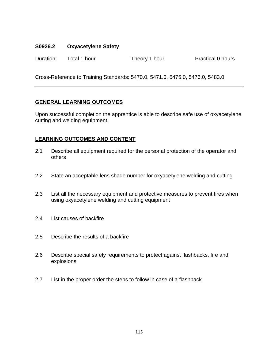# **S0926.2 Oxyacetylene Safety**

Duration: Total 1 hour Theory 1 hour Practical 0 hours

Cross-Reference to Training Standards: 5470.0, 5471.0, 5475.0, 5476.0, 5483.0

# **GENERAL LEARNING OUTCOMES**

Upon successful completion the apprentice is able to describe safe use of oxyacetylene cutting and welding equipment.

- 2.1 Describe all equipment required for the personal protection of the operator and others
- 2.2 State an acceptable lens shade number for oxyacetylene welding and cutting
- 2.3 List all the necessary equipment and protective measures to prevent fires when using oxyacetylene welding and cutting equipment
- 2.4 List causes of backfire
- 2.5 Describe the results of a backfire
- 2.6 Describe special safety requirements to protect against flashbacks, fire and explosions
- 2.7 List in the proper order the steps to follow in case of a flashback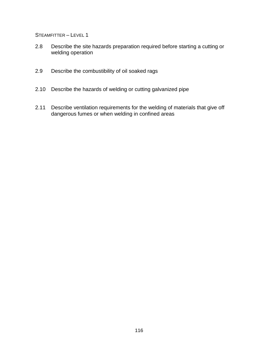- 2.8 Describe the site hazards preparation required before starting a cutting or welding operation
- 2.9 Describe the combustibility of oil soaked rags
- 2.10 Describe the hazards of welding or cutting galvanized pipe
- 2.11 Describe ventilation requirements for the welding of materials that give off dangerous fumes or when welding in confined areas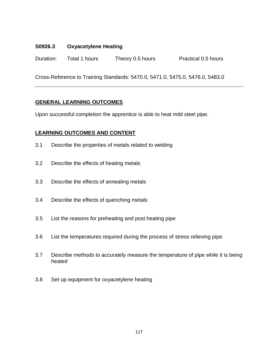# **S0926.3 Oxyacetylene Heating**

Duration: Total 1 hours Theory 0.5 hours Practical 0.5 hours

Cross-Reference to Training Standards: 5470.0, 5471.0, 5475.0, 5476.0, 5483.0

# **GENERAL LEARNING OUTCOMES**

Upon successful completion the apprentice is able to heat mild steel pipe.

- 3.1 Describe the properties of metals related to welding
- 3.2 Describe the effects of heating metals
- 3.3 Describe the effects of annealing metals
- 3.4 Describe the effects of quenching metals
- 3.5 List the reasons for preheating and post heating pipe
- 3.6 List the temperatures required during the process of stress relieving pipe
- 3.7 Describe methods to accurately measure the temperature of pipe while it is being heated
- 3.8 Set up equipment for oxyacetylene heating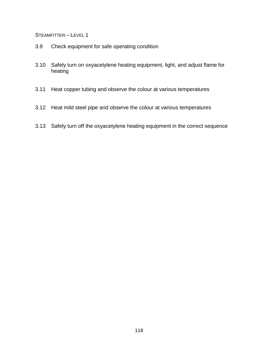- 3.9 Check equipment for safe operating condition
- 3.10 Safely turn on oxyacetylene heating equipment, light, and adjust flame for heating
- 3.11 Heat copper tubing and observe the colour at various temperatures
- 3.12 Heat mild steel pipe and observe the colour at various temperatures
- 3.13 Safely turn off the oxyacetylene heating equipment in the correct sequence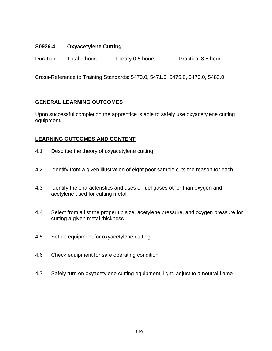# **S0926.4 Oxyacetylene Cutting**

Duration: Total 9 hours Theory 0.5 hours Practical 8.5 hours

Cross-Reference to Training Standards: 5470.0, 5471.0, 5475.0, 5476.0, 5483.0

# **GENERAL LEARNING OUTCOMES**

Upon successful completion the apprentice is able to safely use oxyacetylene cutting equipment.

- 4.1 Describe the theory of oxyacetylene cutting
- 4.2 Identify from a given illustration of eight poor sample cuts the reason for each
- 4.3 Identify the characteristics and uses of fuel gases other than oxygen and acetylene used for cutting metal
- 4.4 Select from a list the proper tip size, acetylene pressure, and oxygen pressure for cutting a given metal thickness
- 4.5 Set up equipment for oxyacetylene cutting
- 4.6 Check equipment for safe operating condition
- 4.7 Safely turn on oxyacetylene cutting equipment, light, adjust to a neutral flame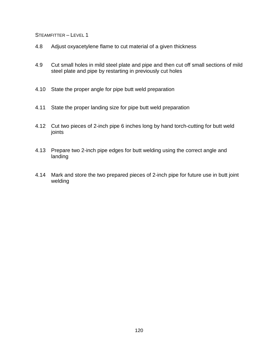- 4.8 Adjust oxyacetylene flame to cut material of a given thickness
- 4.9 Cut small holes in mild steel plate and pipe and then cut off small sections of mild steel plate and pipe by restarting in previously cut holes
- 4.10 State the proper angle for pipe butt weld preparation
- 4.11 State the proper landing size for pipe butt weld preparation
- 4.12 Cut two pieces of 2-inch pipe 6 inches long by hand torch-cutting for butt weld joints
- 4.13 Prepare two 2-inch pipe edges for butt welding using the correct angle and landing
- 4.14 Mark and store the two prepared pieces of 2-inch pipe for future use in butt joint welding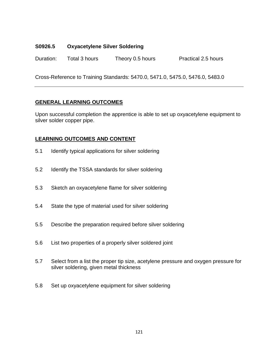# **S0926.5 Oxyacetylene Silver Soldering**

Duration: Total 3 hours Theory 0.5 hours Practical 2.5 hours

Cross-Reference to Training Standards: 5470.0, 5471.0, 5475.0, 5476.0, 5483.0

# **GENERAL LEARNING OUTCOMES**

Upon successful completion the apprentice is able to set up oxyacetylene equipment to silver solder copper pipe.

- 5.1 Identify typical applications for silver soldering
- 5.2 Identify the TSSA standards for silver soldering
- 5.3 Sketch an oxyacetylene flame for silver soldering
- 5.4 State the type of material used for silver soldering
- 5.5 Describe the preparation required before silver soldering
- 5.6 List two properties of a properly silver soldered joint
- 5.7 Select from a list the proper tip size, acetylene pressure and oxygen pressure for silver soldering, given metal thickness
- 5.8 Set up oxyacetylene equipment for silver soldering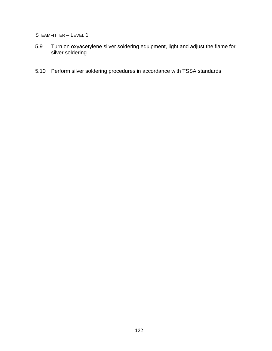- 5.9 Turn on oxyacetylene silver soldering equipment, light and adjust the flame for silver soldering
- 5.10 Perform silver soldering procedures in accordance with TSSA standards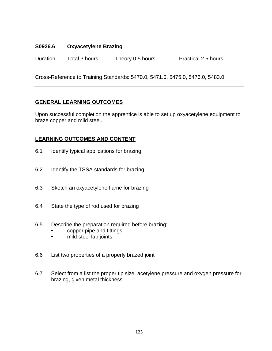# **S0926.6 Oxyacetylene Brazing**

Duration: Total 3 hours Theory 0.5 hours Practical 2.5 hours

Cross-Reference to Training Standards: 5470.0, 5471.0, 5475.0, 5476.0, 5483.0

# **GENERAL LEARNING OUTCOMES**

Upon successful completion the apprentice is able to set up oxyacetylene equipment to braze copper and mild steel.

- 6.1 Identify typical applications for brazing
- 6.2 Identify the TSSA standards for brazing
- 6.3 Sketch an oxyacetylene flame for brazing
- 6.4 State the type of rod used for brazing
- 6.5 Describe the preparation required before brazing:
	- copper pipe and fittings
	- mild steel lap joints
- 6.6 List two properties of a properly brazed joint
- 6.7 Select from a list the proper tip size, acetylene pressure and oxygen pressure for brazing, given metal thickness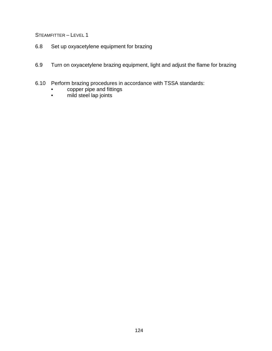- 6.8 Set up oxyacetylene equipment for brazing
- 6.9 Turn on oxyacetylene brazing equipment, light and adjust the flame for brazing
- 6.10 Perform brazing procedures in accordance with TSSA standards:
	- copper pipe and fittings
	- mild steel lap joints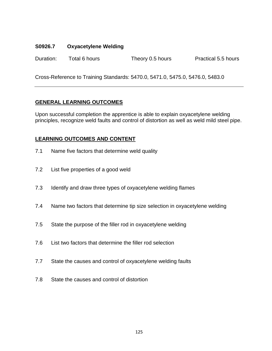# **S0926.7 Oxyacetylene Welding**

Duration: Total 6 hours Theory 0.5 hours Practical 5.5 hours

Cross-Reference to Training Standards: 5470.0, 5471.0, 5475.0, 5476.0, 5483.0

# **GENERAL LEARNING OUTCOMES**

Upon successful completion the apprentice is able to explain oxyacetylene welding principles, recognize weld faults and control of distortion as well as weld mild steel pipe.

- 7.1 Name five factors that determine weld quality
- 7.2 List five properties of a good weld
- 7.3 Identify and draw three types of oxyacetylene welding flames
- 7.4 Name two factors that determine tip size selection in oxyacetylene welding
- 7.5 State the purpose of the filler rod in oxyacetylene welding
- 7.6 List two factors that determine the filler rod selection
- 7.7 State the causes and control of oxyacetylene welding faults
- 7.8 State the causes and control of distortion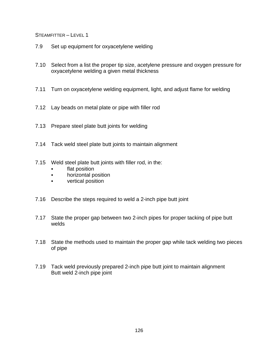- 7.9 Set up equipment for oxyacetylene welding
- 7.10 Select from a list the proper tip size, acetylene pressure and oxygen pressure for oxyacetylene welding a given metal thickness
- 7.11 Turn on oxyacetylene welding equipment, light, and adjust flame for welding
- 7.12 Lay beads on metal plate or pipe with filler rod
- 7.13 Prepare steel plate butt joints for welding
- 7.14 Tack weld steel plate butt joints to maintain alignment
- 7.15 Weld steel plate butt joints with filler rod, in the:
	- flat position
	- horizontal position
	- vertical position
- 7.16 Describe the steps required to weld a 2-inch pipe butt joint
- 7.17 State the proper gap between two 2-inch pipes for proper tacking of pipe butt welds
- 7.18 State the methods used to maintain the proper gap while tack welding two pieces of pipe
- 7.19 Tack weld previously prepared 2-inch pipe butt joint to maintain alignment Butt weld 2-inch pipe joint